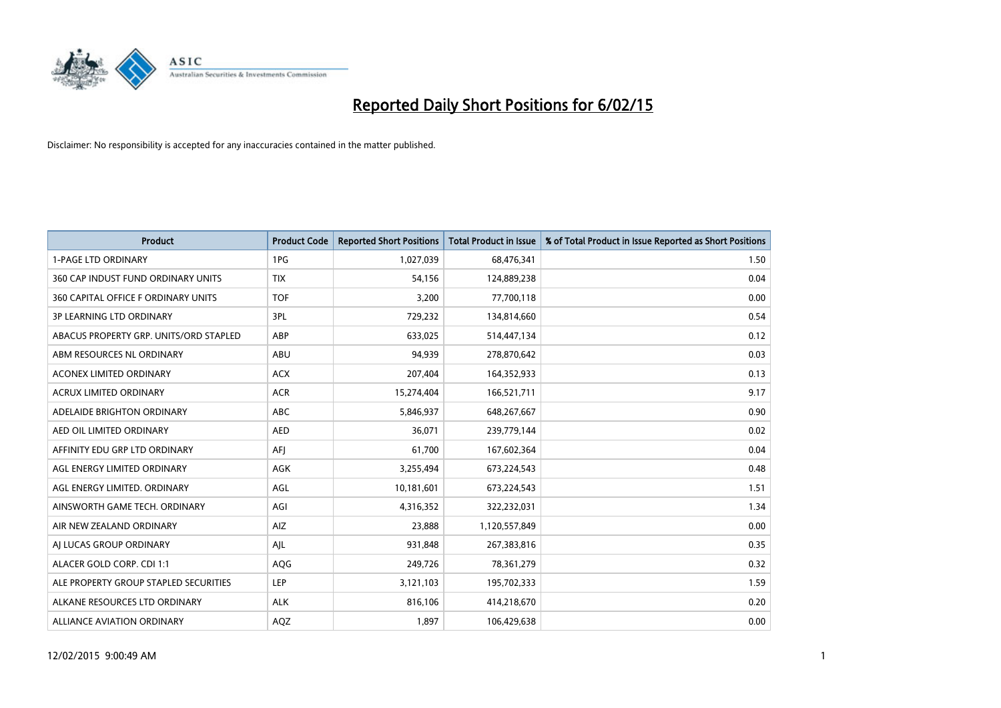

| <b>Product</b>                         | <b>Product Code</b> | <b>Reported Short Positions</b> | <b>Total Product in Issue</b> | % of Total Product in Issue Reported as Short Positions |
|----------------------------------------|---------------------|---------------------------------|-------------------------------|---------------------------------------------------------|
| <b>1-PAGE LTD ORDINARY</b>             | 1PG                 | 1,027,039                       | 68,476,341                    | 1.50                                                    |
| 360 CAP INDUST FUND ORDINARY UNITS     | <b>TIX</b>          | 54,156                          | 124,889,238                   | 0.04                                                    |
| 360 CAPITAL OFFICE F ORDINARY UNITS    | <b>TOF</b>          | 3,200                           | 77,700,118                    | 0.00                                                    |
| <b>3P LEARNING LTD ORDINARY</b>        | 3PL                 | 729,232                         | 134,814,660                   | 0.54                                                    |
| ABACUS PROPERTY GRP. UNITS/ORD STAPLED | ABP                 | 633,025                         | 514,447,134                   | 0.12                                                    |
| ABM RESOURCES NL ORDINARY              | ABU                 | 94,939                          | 278,870,642                   | 0.03                                                    |
| ACONEX LIMITED ORDINARY                | <b>ACX</b>          | 207,404                         | 164,352,933                   | 0.13                                                    |
| ACRUX LIMITED ORDINARY                 | <b>ACR</b>          | 15,274,404                      | 166,521,711                   | 9.17                                                    |
| ADELAIDE BRIGHTON ORDINARY             | <b>ABC</b>          | 5,846,937                       | 648,267,667                   | 0.90                                                    |
| AED OIL LIMITED ORDINARY               | <b>AED</b>          | 36,071                          | 239,779,144                   | 0.02                                                    |
| AFFINITY EDU GRP LTD ORDINARY          | AFJ                 | 61,700                          | 167,602,364                   | 0.04                                                    |
| AGL ENERGY LIMITED ORDINARY            | AGK                 | 3,255,494                       | 673,224,543                   | 0.48                                                    |
| AGL ENERGY LIMITED. ORDINARY           | AGL                 | 10,181,601                      | 673,224,543                   | 1.51                                                    |
| AINSWORTH GAME TECH. ORDINARY          | AGI                 | 4,316,352                       | 322,232,031                   | 1.34                                                    |
| AIR NEW ZEALAND ORDINARY               | AIZ                 | 23,888                          | 1,120,557,849                 | 0.00                                                    |
| AI LUCAS GROUP ORDINARY                | AJL                 | 931,848                         | 267,383,816                   | 0.35                                                    |
| ALACER GOLD CORP. CDI 1:1              | AQG                 | 249,726                         | 78,361,279                    | 0.32                                                    |
| ALE PROPERTY GROUP STAPLED SECURITIES  | LEP                 | 3,121,103                       | 195,702,333                   | 1.59                                                    |
| ALKANE RESOURCES LTD ORDINARY          | <b>ALK</b>          | 816,106                         | 414,218,670                   | 0.20                                                    |
| <b>ALLIANCE AVIATION ORDINARY</b>      | AQZ                 | 1,897                           | 106,429,638                   | 0.00                                                    |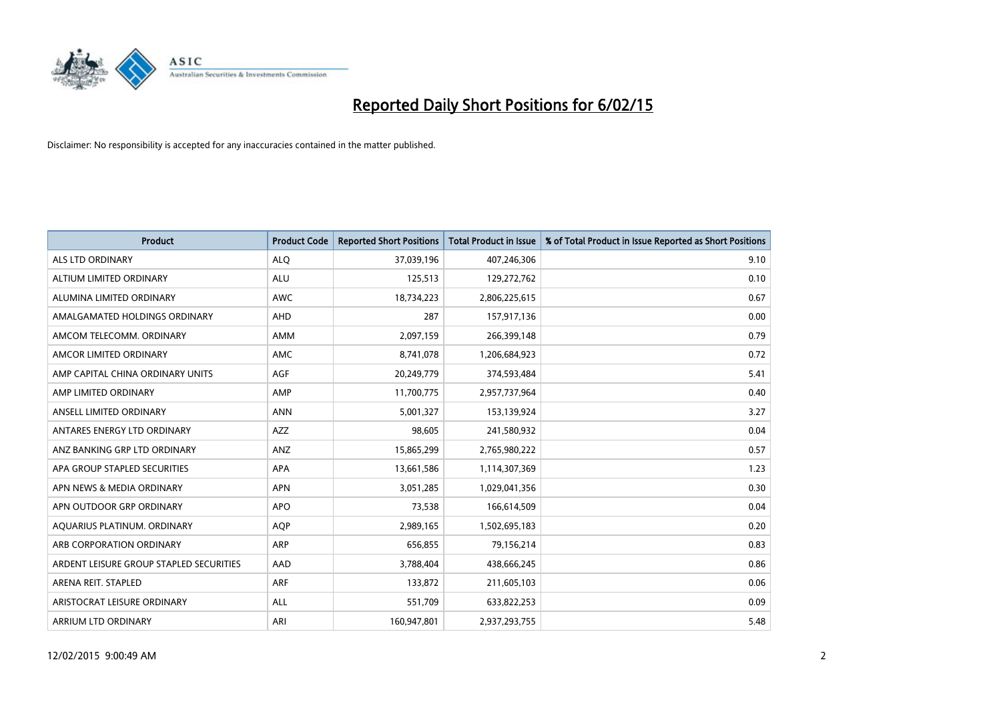

| <b>Product</b>                          | <b>Product Code</b> | <b>Reported Short Positions</b> | <b>Total Product in Issue</b> | % of Total Product in Issue Reported as Short Positions |
|-----------------------------------------|---------------------|---------------------------------|-------------------------------|---------------------------------------------------------|
| <b>ALS LTD ORDINARY</b>                 | <b>ALQ</b>          | 37,039,196                      | 407,246,306                   | 9.10                                                    |
| ALTIUM LIMITED ORDINARY                 | <b>ALU</b>          | 125,513                         | 129,272,762                   | 0.10                                                    |
| ALUMINA LIMITED ORDINARY                | <b>AWC</b>          | 18,734,223                      | 2,806,225,615                 | 0.67                                                    |
| AMALGAMATED HOLDINGS ORDINARY           | <b>AHD</b>          | 287                             | 157,917,136                   | 0.00                                                    |
| AMCOM TELECOMM, ORDINARY                | <b>AMM</b>          | 2,097,159                       | 266,399,148                   | 0.79                                                    |
| AMCOR LIMITED ORDINARY                  | AMC                 | 8,741,078                       | 1,206,684,923                 | 0.72                                                    |
| AMP CAPITAL CHINA ORDINARY UNITS        | AGF                 | 20,249,779                      | 374,593,484                   | 5.41                                                    |
| AMP LIMITED ORDINARY                    | AMP                 | 11,700,775                      | 2,957,737,964                 | 0.40                                                    |
| ANSELL LIMITED ORDINARY                 | <b>ANN</b>          | 5,001,327                       | 153,139,924                   | 3.27                                                    |
| ANTARES ENERGY LTD ORDINARY             | <b>AZZ</b>          | 98,605                          | 241,580,932                   | 0.04                                                    |
| ANZ BANKING GRP LTD ORDINARY            | ANZ                 | 15,865,299                      | 2,765,980,222                 | 0.57                                                    |
| APA GROUP STAPLED SECURITIES            | APA                 | 13,661,586                      | 1,114,307,369                 | 1.23                                                    |
| APN NEWS & MEDIA ORDINARY               | <b>APN</b>          | 3,051,285                       | 1,029,041,356                 | 0.30                                                    |
| APN OUTDOOR GRP ORDINARY                | <b>APO</b>          | 73,538                          | 166,614,509                   | 0.04                                                    |
| AQUARIUS PLATINUM. ORDINARY             | <b>AQP</b>          | 2,989,165                       | 1,502,695,183                 | 0.20                                                    |
| ARB CORPORATION ORDINARY                | ARP                 | 656,855                         | 79,156,214                    | 0.83                                                    |
| ARDENT LEISURE GROUP STAPLED SECURITIES | AAD                 | 3,788,404                       | 438,666,245                   | 0.86                                                    |
| ARENA REIT. STAPLED                     | ARF                 | 133,872                         | 211,605,103                   | 0.06                                                    |
| ARISTOCRAT LEISURE ORDINARY             | <b>ALL</b>          | 551,709                         | 633,822,253                   | 0.09                                                    |
| ARRIUM LTD ORDINARY                     | ARI                 | 160,947,801                     | 2,937,293,755                 | 5.48                                                    |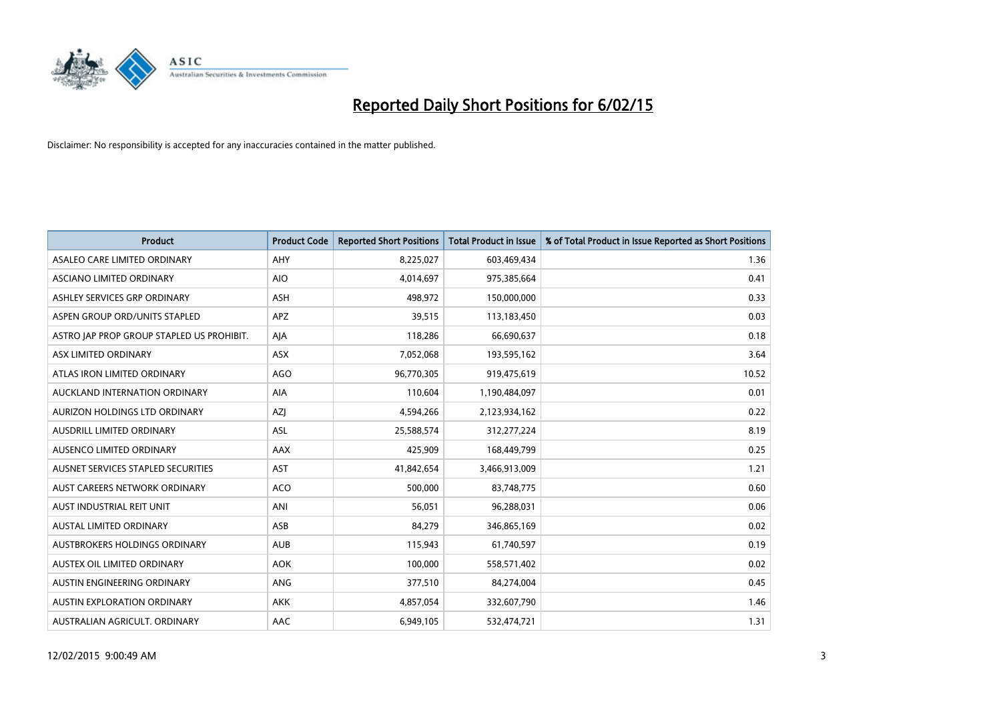

| <b>Product</b>                            | <b>Product Code</b> | <b>Reported Short Positions</b> | <b>Total Product in Issue</b> | % of Total Product in Issue Reported as Short Positions |
|-------------------------------------------|---------------------|---------------------------------|-------------------------------|---------------------------------------------------------|
| ASALEO CARE LIMITED ORDINARY              | AHY                 | 8,225,027                       | 603,469,434                   | 1.36                                                    |
| ASCIANO LIMITED ORDINARY                  | <b>AIO</b>          | 4,014,697                       | 975,385,664                   | 0.41                                                    |
| ASHLEY SERVICES GRP ORDINARY              | <b>ASH</b>          | 498,972                         | 150,000,000                   | 0.33                                                    |
| ASPEN GROUP ORD/UNITS STAPLED             | APZ                 | 39,515                          | 113,183,450                   | 0.03                                                    |
| ASTRO JAP PROP GROUP STAPLED US PROHIBIT. | AJA                 | 118,286                         | 66,690,637                    | 0.18                                                    |
| ASX LIMITED ORDINARY                      | ASX                 | 7,052,068                       | 193,595,162                   | 3.64                                                    |
| ATLAS IRON LIMITED ORDINARY               | <b>AGO</b>          | 96,770,305                      | 919,475,619                   | 10.52                                                   |
| AUCKLAND INTERNATION ORDINARY             | AIA                 | 110,604                         | 1,190,484,097                 | 0.01                                                    |
| AURIZON HOLDINGS LTD ORDINARY             | AZJ                 | 4,594,266                       | 2,123,934,162                 | 0.22                                                    |
| AUSDRILL LIMITED ORDINARY                 | <b>ASL</b>          | 25,588,574                      | 312,277,224                   | 8.19                                                    |
| AUSENCO LIMITED ORDINARY                  | AAX                 | 425,909                         | 168,449,799                   | 0.25                                                    |
| AUSNET SERVICES STAPLED SECURITIES        | <b>AST</b>          | 41,842,654                      | 3,466,913,009                 | 1.21                                                    |
| AUST CAREERS NETWORK ORDINARY             | <b>ACO</b>          | 500,000                         | 83,748,775                    | 0.60                                                    |
| AUST INDUSTRIAL REIT UNIT                 | ANI                 | 56,051                          | 96,288,031                    | 0.06                                                    |
| <b>AUSTAL LIMITED ORDINARY</b>            | ASB                 | 84,279                          | 346,865,169                   | 0.02                                                    |
| AUSTBROKERS HOLDINGS ORDINARY             | <b>AUB</b>          | 115,943                         | 61,740,597                    | 0.19                                                    |
| AUSTEX OIL LIMITED ORDINARY               | <b>AOK</b>          | 100,000                         | 558,571,402                   | 0.02                                                    |
| AUSTIN ENGINEERING ORDINARY               | <b>ANG</b>          | 377,510                         | 84,274,004                    | 0.45                                                    |
| <b>AUSTIN EXPLORATION ORDINARY</b>        | <b>AKK</b>          | 4,857,054                       | 332,607,790                   | 1.46                                                    |
| AUSTRALIAN AGRICULT. ORDINARY             | AAC                 | 6,949,105                       | 532,474,721                   | 1.31                                                    |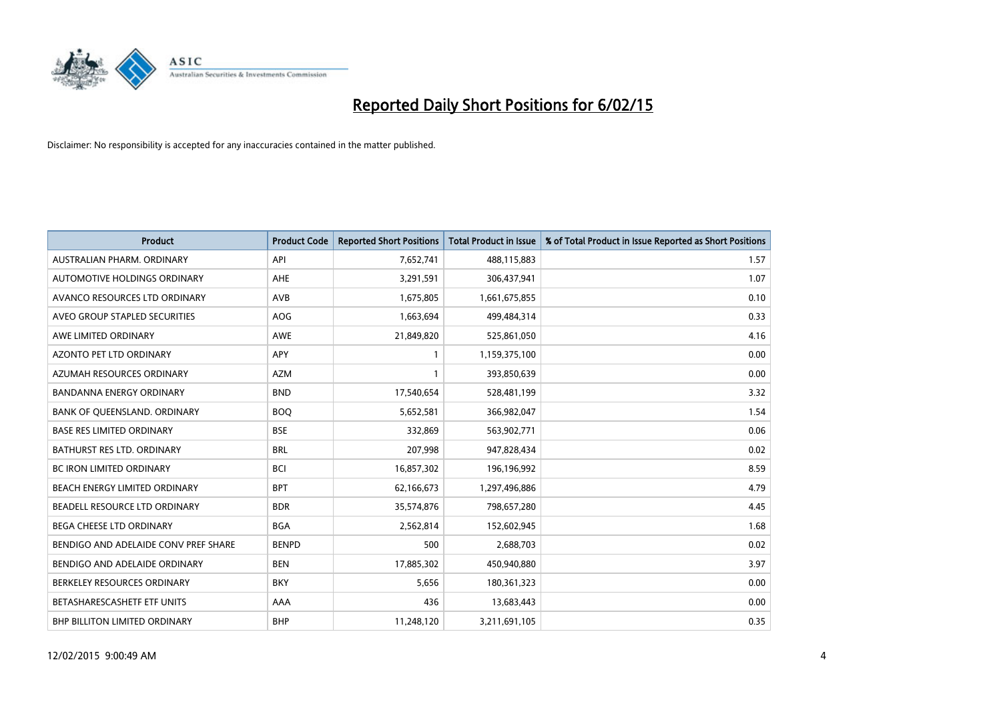

| <b>Product</b>                       | <b>Product Code</b> | <b>Reported Short Positions</b> | <b>Total Product in Issue</b> | % of Total Product in Issue Reported as Short Positions |
|--------------------------------------|---------------------|---------------------------------|-------------------------------|---------------------------------------------------------|
| AUSTRALIAN PHARM, ORDINARY           | API                 | 7,652,741                       | 488,115,883                   | 1.57                                                    |
| AUTOMOTIVE HOLDINGS ORDINARY         | AHE                 | 3,291,591                       | 306,437,941                   | 1.07                                                    |
| AVANCO RESOURCES LTD ORDINARY        | AVB                 | 1,675,805                       | 1,661,675,855                 | 0.10                                                    |
| AVEO GROUP STAPLED SECURITIES        | <b>AOG</b>          | 1,663,694                       | 499,484,314                   | 0.33                                                    |
| AWE LIMITED ORDINARY                 | <b>AWE</b>          | 21,849,820                      | 525,861,050                   | 4.16                                                    |
| <b>AZONTO PET LTD ORDINARY</b>       | APY                 | 1                               | 1,159,375,100                 | 0.00                                                    |
| AZUMAH RESOURCES ORDINARY            | <b>AZM</b>          | 1                               | 393,850,639                   | 0.00                                                    |
| <b>BANDANNA ENERGY ORDINARY</b>      | <b>BND</b>          | 17,540,654                      | 528,481,199                   | 3.32                                                    |
| BANK OF QUEENSLAND. ORDINARY         | <b>BOQ</b>          | 5,652,581                       | 366,982,047                   | 1.54                                                    |
| <b>BASE RES LIMITED ORDINARY</b>     | <b>BSE</b>          | 332,869                         | 563,902,771                   | 0.06                                                    |
| BATHURST RES LTD. ORDINARY           | <b>BRL</b>          | 207,998                         | 947,828,434                   | 0.02                                                    |
| <b>BC IRON LIMITED ORDINARY</b>      | <b>BCI</b>          | 16,857,302                      | 196,196,992                   | 8.59                                                    |
| BEACH ENERGY LIMITED ORDINARY        | <b>BPT</b>          | 62,166,673                      | 1,297,496,886                 | 4.79                                                    |
| BEADELL RESOURCE LTD ORDINARY        | <b>BDR</b>          | 35,574,876                      | 798,657,280                   | 4.45                                                    |
| <b>BEGA CHEESE LTD ORDINARY</b>      | <b>BGA</b>          | 2,562,814                       | 152,602,945                   | 1.68                                                    |
| BENDIGO AND ADELAIDE CONV PREF SHARE | <b>BENPD</b>        | 500                             | 2,688,703                     | 0.02                                                    |
| BENDIGO AND ADELAIDE ORDINARY        | <b>BEN</b>          | 17,885,302                      | 450,940,880                   | 3.97                                                    |
| BERKELEY RESOURCES ORDINARY          | <b>BKY</b>          | 5,656                           | 180,361,323                   | 0.00                                                    |
| BETASHARESCASHETF ETF UNITS          | AAA                 | 436                             | 13,683,443                    | 0.00                                                    |
| BHP BILLITON LIMITED ORDINARY        | <b>BHP</b>          | 11,248,120                      | 3,211,691,105                 | 0.35                                                    |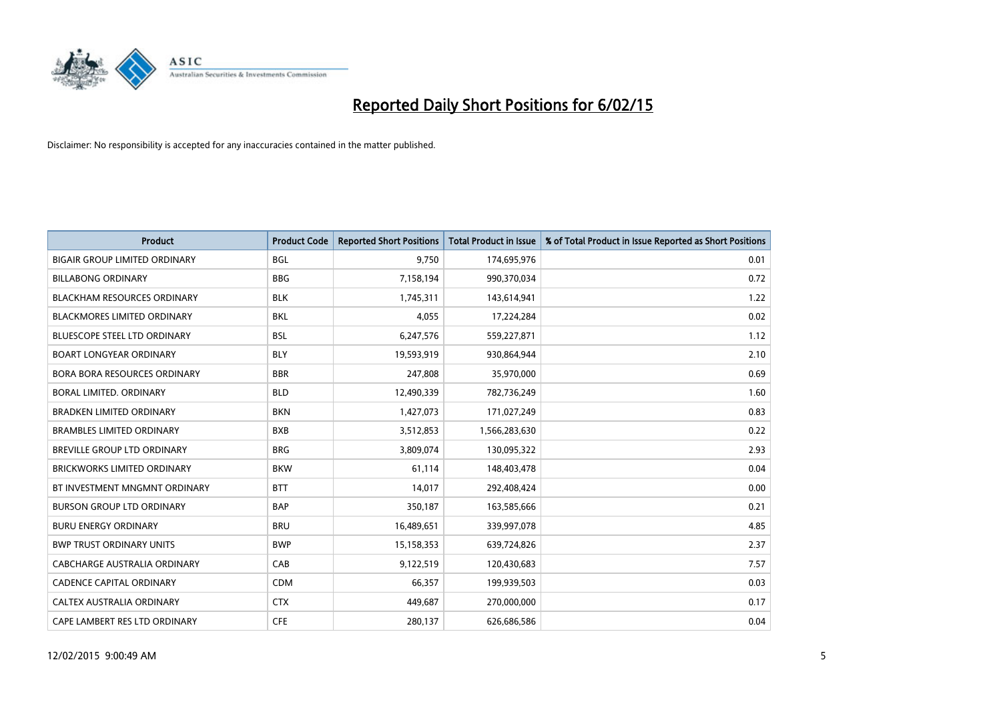

| <b>Product</b>                       | <b>Product Code</b> | <b>Reported Short Positions</b> | <b>Total Product in Issue</b> | % of Total Product in Issue Reported as Short Positions |
|--------------------------------------|---------------------|---------------------------------|-------------------------------|---------------------------------------------------------|
| <b>BIGAIR GROUP LIMITED ORDINARY</b> | <b>BGL</b>          | 9,750                           | 174,695,976                   | 0.01                                                    |
| <b>BILLABONG ORDINARY</b>            | <b>BBG</b>          | 7,158,194                       | 990,370,034                   | 0.72                                                    |
| <b>BLACKHAM RESOURCES ORDINARY</b>   | <b>BLK</b>          | 1,745,311                       | 143,614,941                   | 1.22                                                    |
| BLACKMORES LIMITED ORDINARY          | BKL                 | 4,055                           | 17,224,284                    | 0.02                                                    |
| <b>BLUESCOPE STEEL LTD ORDINARY</b>  | <b>BSL</b>          | 6,247,576                       | 559,227,871                   | 1.12                                                    |
| <b>BOART LONGYEAR ORDINARY</b>       | <b>BLY</b>          | 19,593,919                      | 930,864,944                   | 2.10                                                    |
| <b>BORA BORA RESOURCES ORDINARY</b>  | <b>BBR</b>          | 247,808                         | 35,970,000                    | 0.69                                                    |
| BORAL LIMITED. ORDINARY              | <b>BLD</b>          | 12,490,339                      | 782,736,249                   | 1.60                                                    |
| <b>BRADKEN LIMITED ORDINARY</b>      | <b>BKN</b>          | 1,427,073                       | 171,027,249                   | 0.83                                                    |
| <b>BRAMBLES LIMITED ORDINARY</b>     | <b>BXB</b>          | 3,512,853                       | 1,566,283,630                 | 0.22                                                    |
| BREVILLE GROUP LTD ORDINARY          | <b>BRG</b>          | 3,809,074                       | 130,095,322                   | 2.93                                                    |
| <b>BRICKWORKS LIMITED ORDINARY</b>   | <b>BKW</b>          | 61,114                          | 148,403,478                   | 0.04                                                    |
| BT INVESTMENT MNGMNT ORDINARY        | <b>BTT</b>          | 14,017                          | 292,408,424                   | 0.00                                                    |
| <b>BURSON GROUP LTD ORDINARY</b>     | <b>BAP</b>          | 350,187                         | 163,585,666                   | 0.21                                                    |
| <b>BURU ENERGY ORDINARY</b>          | <b>BRU</b>          | 16,489,651                      | 339,997,078                   | 4.85                                                    |
| <b>BWP TRUST ORDINARY UNITS</b>      | <b>BWP</b>          | 15,158,353                      | 639,724,826                   | 2.37                                                    |
| CABCHARGE AUSTRALIA ORDINARY         | CAB                 | 9,122,519                       | 120,430,683                   | 7.57                                                    |
| <b>CADENCE CAPITAL ORDINARY</b>      | <b>CDM</b>          | 66,357                          | 199,939,503                   | 0.03                                                    |
| CALTEX AUSTRALIA ORDINARY            | <b>CTX</b>          | 449,687                         | 270,000,000                   | 0.17                                                    |
| CAPE LAMBERT RES LTD ORDINARY        | <b>CFE</b>          | 280,137                         | 626,686,586                   | 0.04                                                    |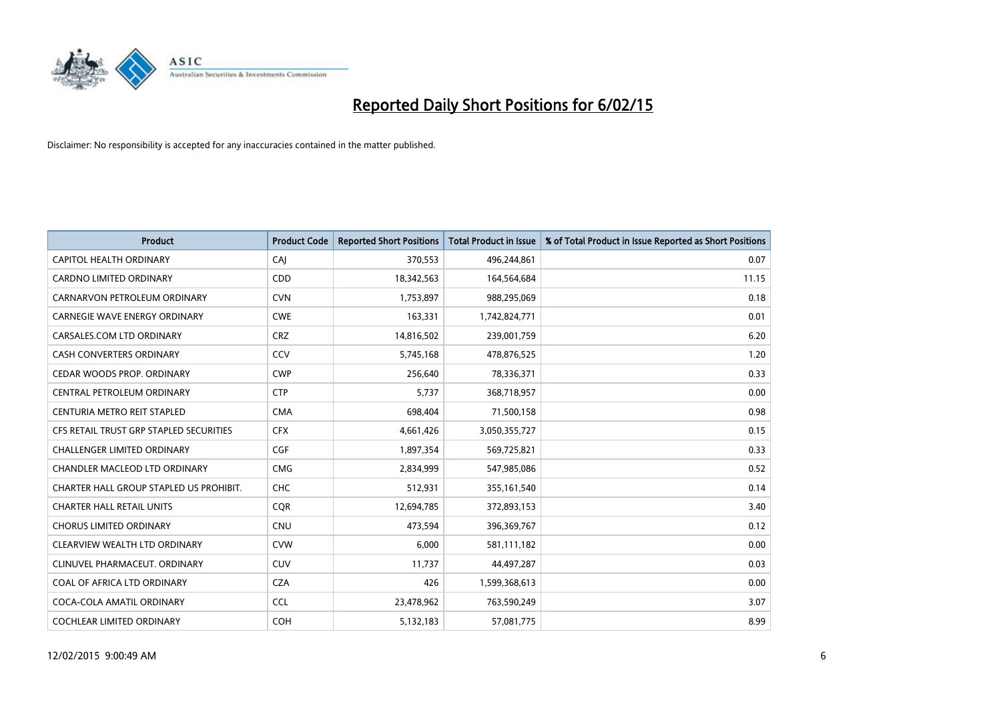

| <b>Product</b>                          | <b>Product Code</b> | <b>Reported Short Positions</b> | <b>Total Product in Issue</b> | % of Total Product in Issue Reported as Short Positions |
|-----------------------------------------|---------------------|---------------------------------|-------------------------------|---------------------------------------------------------|
| CAPITOL HEALTH ORDINARY                 | CAJ                 | 370,553                         | 496,244,861                   | 0.07                                                    |
| <b>CARDNO LIMITED ORDINARY</b>          | CDD                 | 18,342,563                      | 164,564,684                   | 11.15                                                   |
| CARNARVON PETROLEUM ORDINARY            | <b>CVN</b>          | 1,753,897                       | 988,295,069                   | 0.18                                                    |
| <b>CARNEGIE WAVE ENERGY ORDINARY</b>    | <b>CWE</b>          | 163,331                         | 1,742,824,771                 | 0.01                                                    |
| CARSALES.COM LTD ORDINARY               | <b>CRZ</b>          | 14,816,502                      | 239,001,759                   | 6.20                                                    |
| <b>CASH CONVERTERS ORDINARY</b>         | CCV                 | 5,745,168                       | 478,876,525                   | 1.20                                                    |
| CEDAR WOODS PROP. ORDINARY              | <b>CWP</b>          | 256,640                         | 78,336,371                    | 0.33                                                    |
| <b>CENTRAL PETROLEUM ORDINARY</b>       | <b>CTP</b>          | 5,737                           | 368,718,957                   | 0.00                                                    |
| CENTURIA METRO REIT STAPLED             | <b>CMA</b>          | 698,404                         | 71,500,158                    | 0.98                                                    |
| CFS RETAIL TRUST GRP STAPLED SECURITIES | <b>CFX</b>          | 4,661,426                       | 3,050,355,727                 | 0.15                                                    |
| <b>CHALLENGER LIMITED ORDINARY</b>      | <b>CGF</b>          | 1,897,354                       | 569,725,821                   | 0.33                                                    |
| CHANDLER MACLEOD LTD ORDINARY           | <b>CMG</b>          | 2,834,999                       | 547,985,086                   | 0.52                                                    |
| CHARTER HALL GROUP STAPLED US PROHIBIT. | <b>CHC</b>          | 512,931                         | 355,161,540                   | 0.14                                                    |
| <b>CHARTER HALL RETAIL UNITS</b>        | <b>CQR</b>          | 12,694,785                      | 372,893,153                   | 3.40                                                    |
| <b>CHORUS LIMITED ORDINARY</b>          | <b>CNU</b>          | 473,594                         | 396,369,767                   | 0.12                                                    |
| CLEARVIEW WEALTH LTD ORDINARY           | <b>CVW</b>          | 6,000                           | 581,111,182                   | 0.00                                                    |
| CLINUVEL PHARMACEUT, ORDINARY           | <b>CUV</b>          | 11,737                          | 44,497,287                    | 0.03                                                    |
| COAL OF AFRICA LTD ORDINARY             | <b>CZA</b>          | 426                             | 1,599,368,613                 | 0.00                                                    |
| COCA-COLA AMATIL ORDINARY               | <b>CCL</b>          | 23,478,962                      | 763,590,249                   | 3.07                                                    |
| <b>COCHLEAR LIMITED ORDINARY</b>        | <b>COH</b>          | 5,132,183                       | 57,081,775                    | 8.99                                                    |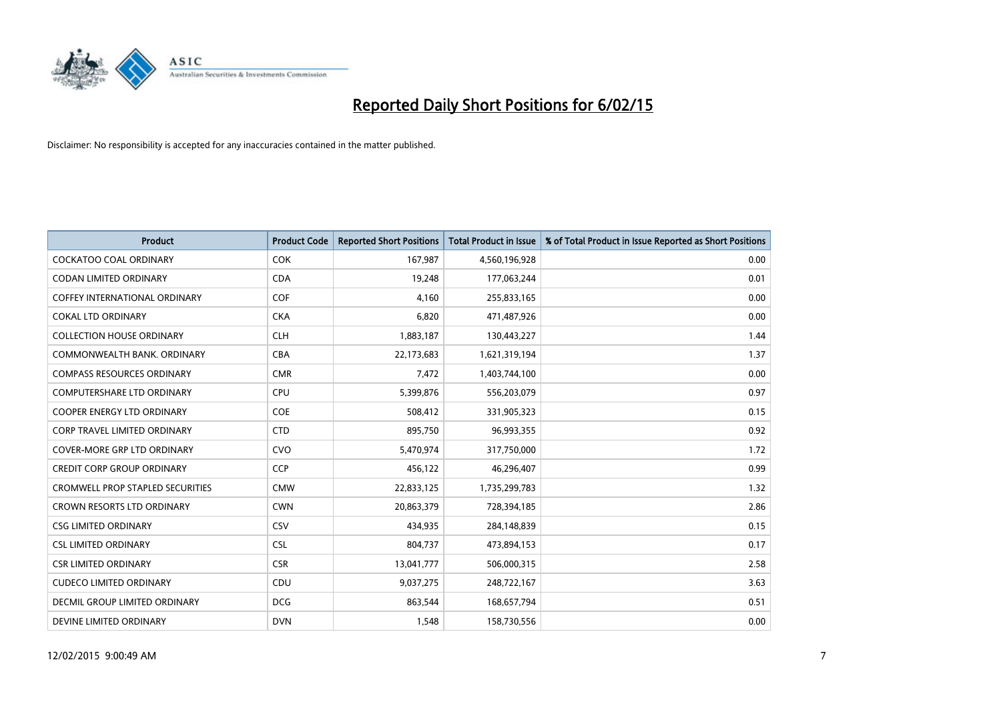

| <b>Product</b>                          | <b>Product Code</b> | <b>Reported Short Positions</b> | <b>Total Product in Issue</b> | % of Total Product in Issue Reported as Short Positions |
|-----------------------------------------|---------------------|---------------------------------|-------------------------------|---------------------------------------------------------|
| <b>COCKATOO COAL ORDINARY</b>           | <b>COK</b>          | 167,987                         | 4,560,196,928                 | 0.00                                                    |
| CODAN LIMITED ORDINARY                  | <b>CDA</b>          | 19,248                          | 177,063,244                   | 0.01                                                    |
| <b>COFFEY INTERNATIONAL ORDINARY</b>    | <b>COF</b>          | 4.160                           | 255,833,165                   | 0.00                                                    |
| <b>COKAL LTD ORDINARY</b>               | <b>CKA</b>          | 6,820                           | 471,487,926                   | 0.00                                                    |
| <b>COLLECTION HOUSE ORDINARY</b>        | <b>CLH</b>          | 1,883,187                       | 130,443,227                   | 1.44                                                    |
| COMMONWEALTH BANK, ORDINARY             | <b>CBA</b>          | 22,173,683                      | 1,621,319,194                 | 1.37                                                    |
| <b>COMPASS RESOURCES ORDINARY</b>       | <b>CMR</b>          | 7,472                           | 1,403,744,100                 | 0.00                                                    |
| COMPUTERSHARE LTD ORDINARY              | <b>CPU</b>          | 5,399,876                       | 556,203,079                   | 0.97                                                    |
| <b>COOPER ENERGY LTD ORDINARY</b>       | <b>COE</b>          | 508,412                         | 331,905,323                   | 0.15                                                    |
| <b>CORP TRAVEL LIMITED ORDINARY</b>     | <b>CTD</b>          | 895,750                         | 96,993,355                    | 0.92                                                    |
| COVER-MORE GRP LTD ORDINARY             | <b>CVO</b>          | 5,470,974                       | 317,750,000                   | 1.72                                                    |
| <b>CREDIT CORP GROUP ORDINARY</b>       | <b>CCP</b>          | 456,122                         | 46,296,407                    | 0.99                                                    |
| <b>CROMWELL PROP STAPLED SECURITIES</b> | <b>CMW</b>          | 22,833,125                      | 1,735,299,783                 | 1.32                                                    |
| <b>CROWN RESORTS LTD ORDINARY</b>       | <b>CWN</b>          | 20,863,379                      | 728,394,185                   | 2.86                                                    |
| <b>CSG LIMITED ORDINARY</b>             | CSV                 | 434,935                         | 284,148,839                   | 0.15                                                    |
| <b>CSL LIMITED ORDINARY</b>             | <b>CSL</b>          | 804,737                         | 473,894,153                   | 0.17                                                    |
| <b>CSR LIMITED ORDINARY</b>             | <b>CSR</b>          | 13,041,777                      | 506,000,315                   | 2.58                                                    |
| <b>CUDECO LIMITED ORDINARY</b>          | <b>CDU</b>          | 9,037,275                       | 248,722,167                   | 3.63                                                    |
| DECMIL GROUP LIMITED ORDINARY           | <b>DCG</b>          | 863,544                         | 168,657,794                   | 0.51                                                    |
| DEVINE LIMITED ORDINARY                 | <b>DVN</b>          | 1,548                           | 158,730,556                   | 0.00                                                    |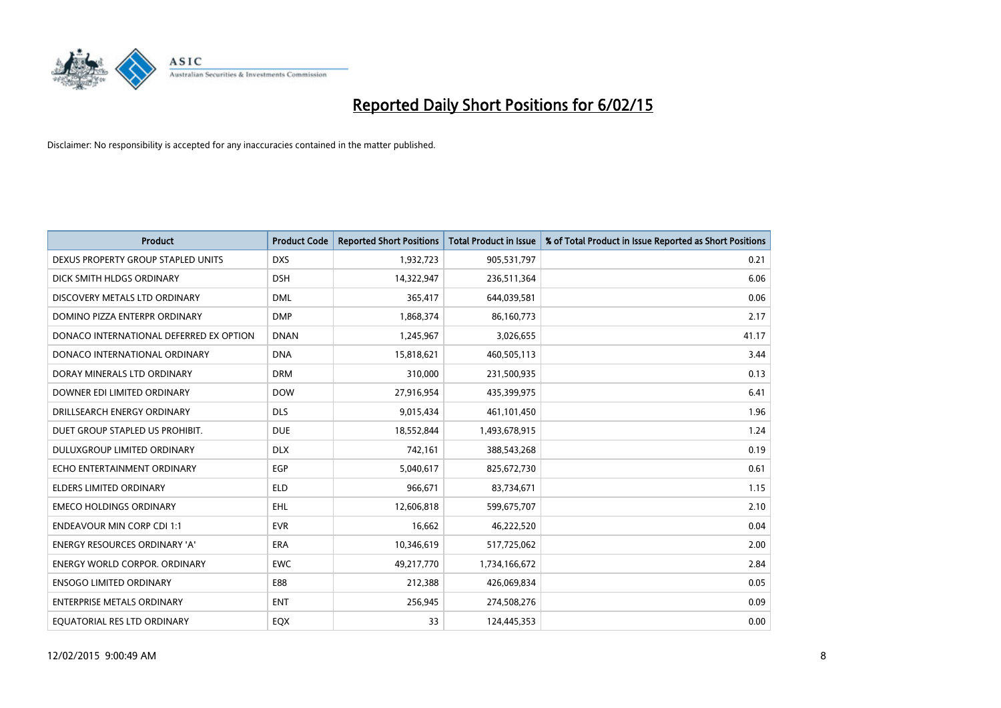

| <b>Product</b>                          | <b>Product Code</b> | <b>Reported Short Positions</b> | <b>Total Product in Issue</b> | % of Total Product in Issue Reported as Short Positions |
|-----------------------------------------|---------------------|---------------------------------|-------------------------------|---------------------------------------------------------|
| DEXUS PROPERTY GROUP STAPLED UNITS      | <b>DXS</b>          | 1,932,723                       | 905,531,797                   | 0.21                                                    |
| DICK SMITH HLDGS ORDINARY               | <b>DSH</b>          | 14,322,947                      | 236,511,364                   | 6.06                                                    |
| DISCOVERY METALS LTD ORDINARY           | <b>DML</b>          | 365,417                         | 644,039,581                   | 0.06                                                    |
| DOMINO PIZZA ENTERPR ORDINARY           | <b>DMP</b>          | 1,868,374                       | 86,160,773                    | 2.17                                                    |
| DONACO INTERNATIONAL DEFERRED EX OPTION | <b>DNAN</b>         | 1,245,967                       | 3,026,655                     | 41.17                                                   |
| DONACO INTERNATIONAL ORDINARY           | <b>DNA</b>          | 15,818,621                      | 460,505,113                   | 3.44                                                    |
| DORAY MINERALS LTD ORDINARY             | <b>DRM</b>          | 310,000                         | 231,500,935                   | 0.13                                                    |
| DOWNER EDI LIMITED ORDINARY             | <b>DOW</b>          | 27,916,954                      | 435,399,975                   | 6.41                                                    |
| DRILLSEARCH ENERGY ORDINARY             | <b>DLS</b>          | 9,015,434                       | 461,101,450                   | 1.96                                                    |
| DUET GROUP STAPLED US PROHIBIT.         | <b>DUE</b>          | 18,552,844                      | 1,493,678,915                 | 1.24                                                    |
| DULUXGROUP LIMITED ORDINARY             | <b>DLX</b>          | 742,161                         | 388,543,268                   | 0.19                                                    |
| ECHO ENTERTAINMENT ORDINARY             | EGP                 | 5,040,617                       | 825,672,730                   | 0.61                                                    |
| <b>ELDERS LIMITED ORDINARY</b>          | <b>ELD</b>          | 966,671                         | 83,734,671                    | 1.15                                                    |
| <b>EMECO HOLDINGS ORDINARY</b>          | <b>EHL</b>          | 12,606,818                      | 599,675,707                   | 2.10                                                    |
| <b>ENDEAVOUR MIN CORP CDI 1:1</b>       | <b>EVR</b>          | 16,662                          | 46,222,520                    | 0.04                                                    |
| ENERGY RESOURCES ORDINARY 'A'           | ERA                 | 10,346,619                      | 517,725,062                   | 2.00                                                    |
| ENERGY WORLD CORPOR. ORDINARY           | <b>EWC</b>          | 49,217,770                      | 1,734,166,672                 | 2.84                                                    |
| <b>ENSOGO LIMITED ORDINARY</b>          | E88                 | 212,388                         | 426,069,834                   | 0.05                                                    |
| <b>ENTERPRISE METALS ORDINARY</b>       | <b>ENT</b>          | 256,945                         | 274,508,276                   | 0.09                                                    |
| EQUATORIAL RES LTD ORDINARY             | EQX                 | 33                              | 124,445,353                   | 0.00                                                    |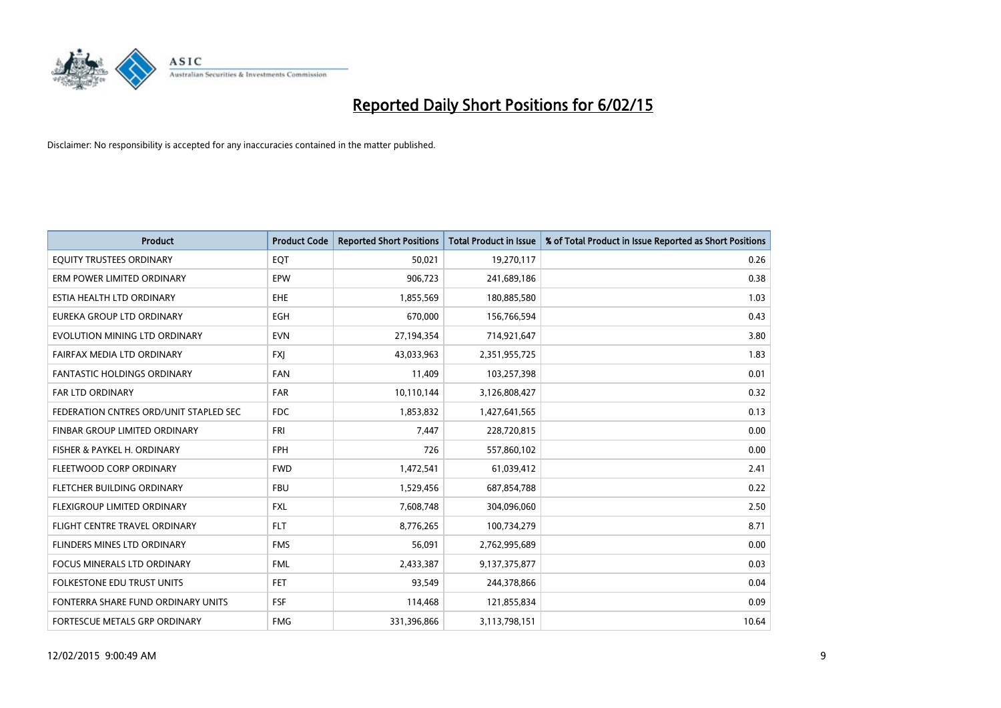

| <b>Product</b>                         | <b>Product Code</b> | <b>Reported Short Positions</b> | <b>Total Product in Issue</b> | % of Total Product in Issue Reported as Short Positions |
|----------------------------------------|---------------------|---------------------------------|-------------------------------|---------------------------------------------------------|
| EQUITY TRUSTEES ORDINARY               | EQT                 | 50,021                          | 19,270,117                    | 0.26                                                    |
| ERM POWER LIMITED ORDINARY             | <b>EPW</b>          | 906,723                         | 241,689,186                   | 0.38                                                    |
| ESTIA HEALTH LTD ORDINARY              | EHE                 | 1,855,569                       | 180,885,580                   | 1.03                                                    |
| EUREKA GROUP LTD ORDINARY              | <b>EGH</b>          | 670,000                         | 156,766,594                   | 0.43                                                    |
| EVOLUTION MINING LTD ORDINARY          | <b>EVN</b>          | 27,194,354                      | 714,921,647                   | 3.80                                                    |
| FAIRFAX MEDIA LTD ORDINARY             | <b>FXI</b>          | 43,033,963                      | 2,351,955,725                 | 1.83                                                    |
| <b>FANTASTIC HOLDINGS ORDINARY</b>     | <b>FAN</b>          | 11,409                          | 103,257,398                   | 0.01                                                    |
| FAR LTD ORDINARY                       | <b>FAR</b>          | 10,110,144                      | 3,126,808,427                 | 0.32                                                    |
| FEDERATION CNTRES ORD/UNIT STAPLED SEC | <b>FDC</b>          | 1,853,832                       | 1,427,641,565                 | 0.13                                                    |
| FINBAR GROUP LIMITED ORDINARY          | <b>FRI</b>          | 7,447                           | 228,720,815                   | 0.00                                                    |
| FISHER & PAYKEL H. ORDINARY            | <b>FPH</b>          | 726                             | 557,860,102                   | 0.00                                                    |
| FLEETWOOD CORP ORDINARY                | <b>FWD</b>          | 1,472,541                       | 61,039,412                    | 2.41                                                    |
| FLETCHER BUILDING ORDINARY             | <b>FBU</b>          | 1,529,456                       | 687,854,788                   | 0.22                                                    |
| FLEXIGROUP LIMITED ORDINARY            | <b>FXL</b>          | 7,608,748                       | 304,096,060                   | 2.50                                                    |
| FLIGHT CENTRE TRAVEL ORDINARY          | <b>FLT</b>          | 8,776,265                       | 100,734,279                   | 8.71                                                    |
| FLINDERS MINES LTD ORDINARY            | <b>FMS</b>          | 56,091                          | 2,762,995,689                 | 0.00                                                    |
| FOCUS MINERALS LTD ORDINARY            | <b>FML</b>          | 2,433,387                       | 9,137,375,877                 | 0.03                                                    |
| FOLKESTONE EDU TRUST UNITS             | <b>FET</b>          | 93,549                          | 244,378,866                   | 0.04                                                    |
| FONTERRA SHARE FUND ORDINARY UNITS     | <b>FSF</b>          | 114,468                         | 121,855,834                   | 0.09                                                    |
| FORTESCUE METALS GRP ORDINARY          | <b>FMG</b>          | 331,396,866                     | 3,113,798,151                 | 10.64                                                   |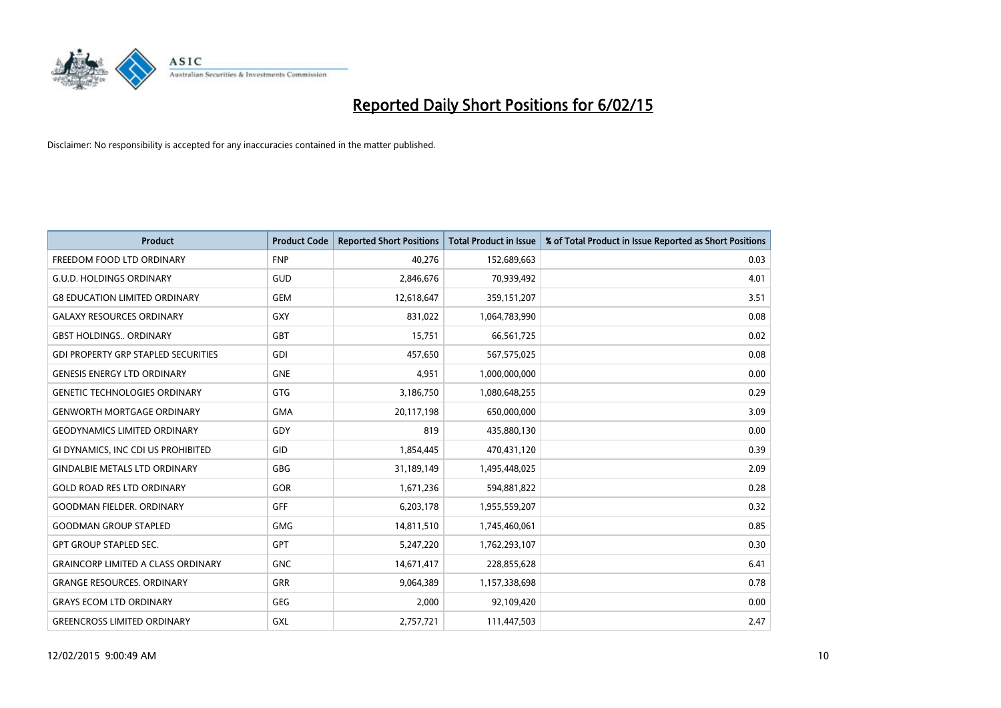

| <b>Product</b>                             | <b>Product Code</b> | <b>Reported Short Positions</b> | <b>Total Product in Issue</b> | % of Total Product in Issue Reported as Short Positions |
|--------------------------------------------|---------------------|---------------------------------|-------------------------------|---------------------------------------------------------|
| FREEDOM FOOD LTD ORDINARY                  | <b>FNP</b>          | 40,276                          | 152,689,663                   | 0.03                                                    |
| <b>G.U.D. HOLDINGS ORDINARY</b>            | GUD                 | 2,846,676                       | 70,939,492                    | 4.01                                                    |
| <b>G8 EDUCATION LIMITED ORDINARY</b>       | <b>GEM</b>          | 12,618,647                      | 359,151,207                   | 3.51                                                    |
| <b>GALAXY RESOURCES ORDINARY</b>           | <b>GXY</b>          | 831,022                         | 1,064,783,990                 | 0.08                                                    |
| <b>GBST HOLDINGS., ORDINARY</b>            | <b>GBT</b>          | 15,751                          | 66,561,725                    | 0.02                                                    |
| <b>GDI PROPERTY GRP STAPLED SECURITIES</b> | <b>GDI</b>          | 457,650                         | 567,575,025                   | 0.08                                                    |
| <b>GENESIS ENERGY LTD ORDINARY</b>         | <b>GNE</b>          | 4,951                           | 1,000,000,000                 | 0.00                                                    |
| <b>GENETIC TECHNOLOGIES ORDINARY</b>       | <b>GTG</b>          | 3,186,750                       | 1,080,648,255                 | 0.29                                                    |
| <b>GENWORTH MORTGAGE ORDINARY</b>          | <b>GMA</b>          | 20,117,198                      | 650,000,000                   | 3.09                                                    |
| <b>GEODYNAMICS LIMITED ORDINARY</b>        | GDY                 | 819                             | 435,880,130                   | 0.00                                                    |
| GI DYNAMICS, INC CDI US PROHIBITED         | GID                 | 1,854,445                       | 470,431,120                   | 0.39                                                    |
| <b>GINDALBIE METALS LTD ORDINARY</b>       | GBG                 | 31,189,149                      | 1,495,448,025                 | 2.09                                                    |
| <b>GOLD ROAD RES LTD ORDINARY</b>          | GOR                 | 1,671,236                       | 594,881,822                   | 0.28                                                    |
| <b>GOODMAN FIELDER, ORDINARY</b>           | GFF                 | 6,203,178                       | 1,955,559,207                 | 0.32                                                    |
| <b>GOODMAN GROUP STAPLED</b>               | <b>GMG</b>          | 14,811,510                      | 1,745,460,061                 | 0.85                                                    |
| <b>GPT GROUP STAPLED SEC.</b>              | GPT                 | 5,247,220                       | 1,762,293,107                 | 0.30                                                    |
| <b>GRAINCORP LIMITED A CLASS ORDINARY</b>  | <b>GNC</b>          | 14,671,417                      | 228,855,628                   | 6.41                                                    |
| <b>GRANGE RESOURCES. ORDINARY</b>          | <b>GRR</b>          | 9,064,389                       | 1,157,338,698                 | 0.78                                                    |
| <b>GRAYS ECOM LTD ORDINARY</b>             | <b>GEG</b>          | 2,000                           | 92,109,420                    | 0.00                                                    |
| <b>GREENCROSS LIMITED ORDINARY</b>         | GXL                 | 2,757,721                       | 111,447,503                   | 2.47                                                    |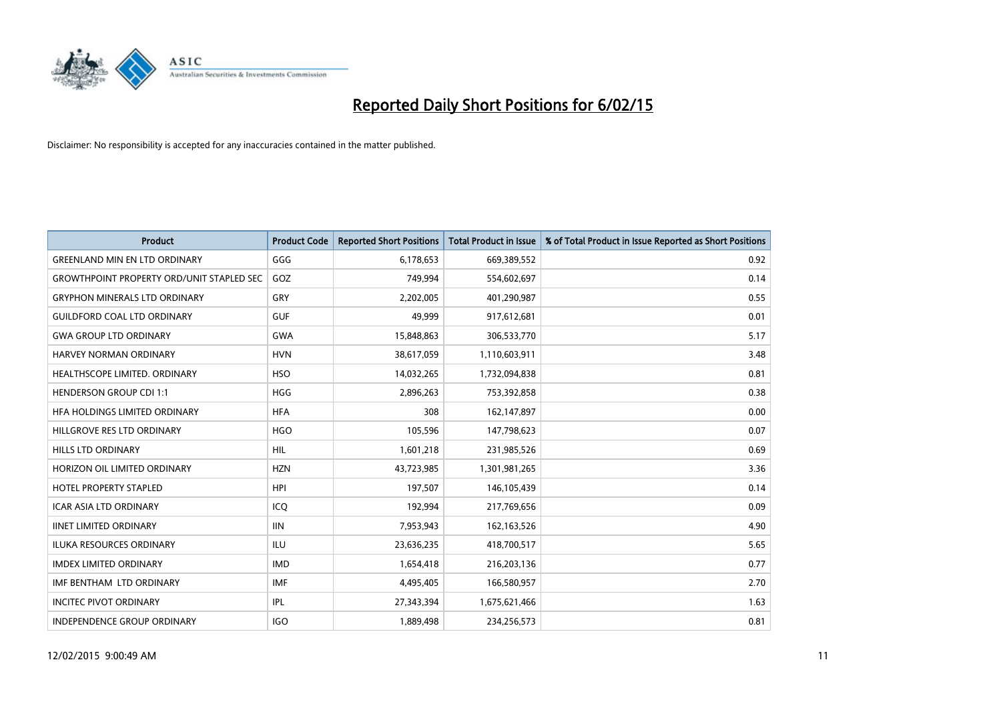

| <b>Product</b>                                   | <b>Product Code</b> | <b>Reported Short Positions</b> | <b>Total Product in Issue</b> | % of Total Product in Issue Reported as Short Positions |
|--------------------------------------------------|---------------------|---------------------------------|-------------------------------|---------------------------------------------------------|
| <b>GREENLAND MIN EN LTD ORDINARY</b>             | GGG                 | 6,178,653                       | 669,389,552                   | 0.92                                                    |
| <b>GROWTHPOINT PROPERTY ORD/UNIT STAPLED SEC</b> | GOZ                 | 749,994                         | 554,602,697                   | 0.14                                                    |
| <b>GRYPHON MINERALS LTD ORDINARY</b>             | GRY                 | 2,202,005                       | 401,290,987                   | 0.55                                                    |
| <b>GUILDFORD COAL LTD ORDINARY</b>               | <b>GUF</b>          | 49,999                          | 917,612,681                   | 0.01                                                    |
| <b>GWA GROUP LTD ORDINARY</b>                    | <b>GWA</b>          | 15,848,863                      | 306,533,770                   | 5.17                                                    |
| <b>HARVEY NORMAN ORDINARY</b>                    | <b>HVN</b>          | 38,617,059                      | 1,110,603,911                 | 3.48                                                    |
| HEALTHSCOPE LIMITED. ORDINARY                    | <b>HSO</b>          | 14,032,265                      | 1,732,094,838                 | 0.81                                                    |
| <b>HENDERSON GROUP CDI 1:1</b>                   | <b>HGG</b>          | 2,896,263                       | 753,392,858                   | 0.38                                                    |
| HFA HOLDINGS LIMITED ORDINARY                    | <b>HFA</b>          | 308                             | 162,147,897                   | 0.00                                                    |
| HILLGROVE RES LTD ORDINARY                       | <b>HGO</b>          | 105,596                         | 147,798,623                   | 0.07                                                    |
| HILLS LTD ORDINARY                               | <b>HIL</b>          | 1,601,218                       | 231,985,526                   | 0.69                                                    |
| HORIZON OIL LIMITED ORDINARY                     | <b>HZN</b>          | 43,723,985                      | 1,301,981,265                 | 3.36                                                    |
| HOTEL PROPERTY STAPLED                           | <b>HPI</b>          | 197,507                         | 146,105,439                   | 0.14                                                    |
| <b>ICAR ASIA LTD ORDINARY</b>                    | ICQ                 | 192,994                         | 217,769,656                   | 0.09                                                    |
| <b>IINET LIMITED ORDINARY</b>                    | <b>IIN</b>          | 7,953,943                       | 162,163,526                   | 4.90                                                    |
| ILUKA RESOURCES ORDINARY                         | ILU                 | 23,636,235                      | 418,700,517                   | 5.65                                                    |
| <b>IMDEX LIMITED ORDINARY</b>                    | <b>IMD</b>          | 1,654,418                       | 216,203,136                   | 0.77                                                    |
| IMF BENTHAM LTD ORDINARY                         | <b>IMF</b>          | 4,495,405                       | 166,580,957                   | 2.70                                                    |
| <b>INCITEC PIVOT ORDINARY</b>                    | IPL                 | 27,343,394                      | 1,675,621,466                 | 1.63                                                    |
| INDEPENDENCE GROUP ORDINARY                      | <b>IGO</b>          | 1,889,498                       | 234,256,573                   | 0.81                                                    |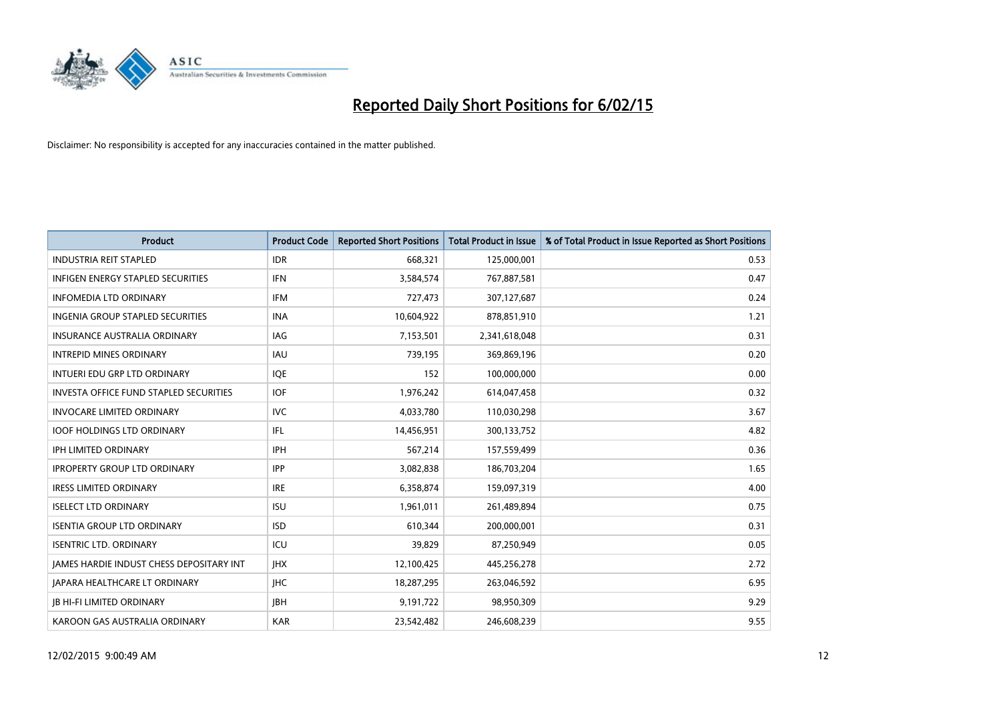

| <b>Product</b>                                | <b>Product Code</b> | <b>Reported Short Positions</b> | <b>Total Product in Issue</b> | % of Total Product in Issue Reported as Short Positions |
|-----------------------------------------------|---------------------|---------------------------------|-------------------------------|---------------------------------------------------------|
| <b>INDUSTRIA REIT STAPLED</b>                 | <b>IDR</b>          | 668,321                         | 125,000,001                   | 0.53                                                    |
| <b>INFIGEN ENERGY STAPLED SECURITIES</b>      | <b>IFN</b>          | 3,584,574                       | 767,887,581                   | 0.47                                                    |
| <b>INFOMEDIA LTD ORDINARY</b>                 | IFM                 | 727,473                         | 307,127,687                   | 0.24                                                    |
| <b>INGENIA GROUP STAPLED SECURITIES</b>       | <b>INA</b>          | 10,604,922                      | 878,851,910                   | 1.21                                                    |
| <b>INSURANCE AUSTRALIA ORDINARY</b>           | <b>IAG</b>          | 7,153,501                       | 2,341,618,048                 | 0.31                                                    |
| <b>INTREPID MINES ORDINARY</b>                | <b>IAU</b>          | 739,195                         | 369,869,196                   | 0.20                                                    |
| INTUERI EDU GRP LTD ORDINARY                  | <b>IOE</b>          | 152                             | 100,000,000                   | 0.00                                                    |
| <b>INVESTA OFFICE FUND STAPLED SECURITIES</b> | <b>IOF</b>          | 1,976,242                       | 614,047,458                   | 0.32                                                    |
| <b>INVOCARE LIMITED ORDINARY</b>              | <b>IVC</b>          | 4,033,780                       | 110,030,298                   | 3.67                                                    |
| <b>IOOF HOLDINGS LTD ORDINARY</b>             | IFL                 | 14,456,951                      | 300,133,752                   | 4.82                                                    |
| <b>IPH LIMITED ORDINARY</b>                   | <b>IPH</b>          | 567,214                         | 157,559,499                   | 0.36                                                    |
| <b>IPROPERTY GROUP LTD ORDINARY</b>           | <b>IPP</b>          | 3,082,838                       | 186,703,204                   | 1.65                                                    |
| <b>IRESS LIMITED ORDINARY</b>                 | <b>IRE</b>          | 6,358,874                       | 159,097,319                   | 4.00                                                    |
| <b>ISELECT LTD ORDINARY</b>                   | <b>ISU</b>          | 1,961,011                       | 261,489,894                   | 0.75                                                    |
| <b>ISENTIA GROUP LTD ORDINARY</b>             | <b>ISD</b>          | 610,344                         | 200,000,001                   | 0.31                                                    |
| <b>ISENTRIC LTD. ORDINARY</b>                 | ICU                 | 39.829                          | 87,250,949                    | 0.05                                                    |
| JAMES HARDIE INDUST CHESS DEPOSITARY INT      | <b>IHX</b>          | 12,100,425                      | 445,256,278                   | 2.72                                                    |
| <b>JAPARA HEALTHCARE LT ORDINARY</b>          | <b>IHC</b>          | 18,287,295                      | 263,046,592                   | 6.95                                                    |
| <b>JB HI-FI LIMITED ORDINARY</b>              | <b>IBH</b>          | 9,191,722                       | 98,950,309                    | 9.29                                                    |
| KAROON GAS AUSTRALIA ORDINARY                 | <b>KAR</b>          | 23.542.482                      | 246,608,239                   | 9.55                                                    |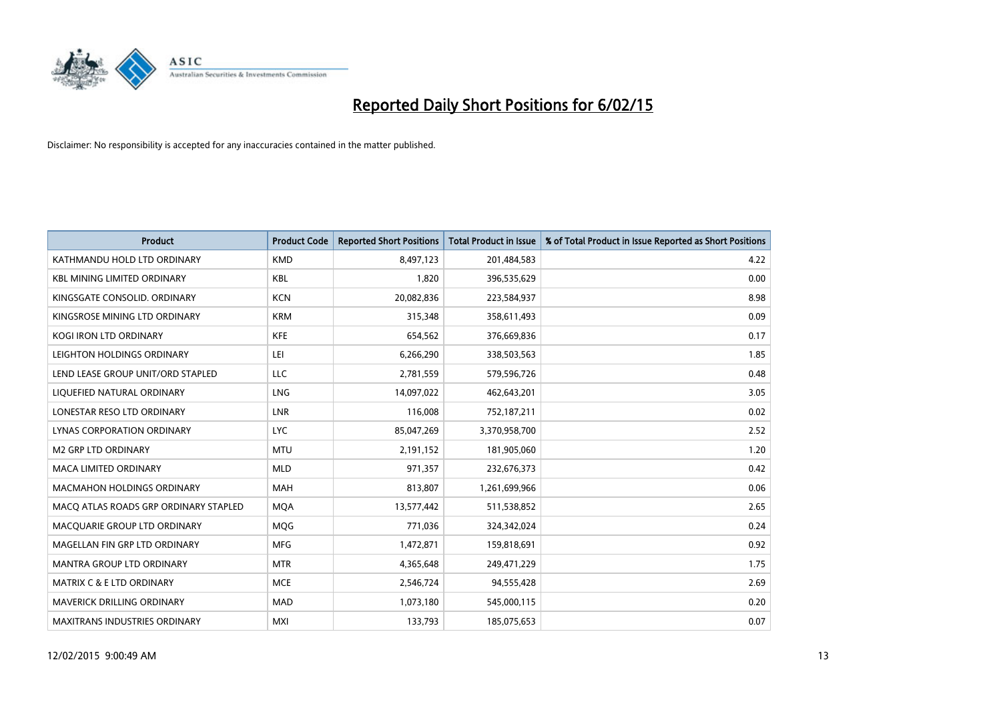

| <b>Product</b>                        | <b>Product Code</b> | <b>Reported Short Positions</b> | <b>Total Product in Issue</b> | % of Total Product in Issue Reported as Short Positions |
|---------------------------------------|---------------------|---------------------------------|-------------------------------|---------------------------------------------------------|
| KATHMANDU HOLD LTD ORDINARY           | <b>KMD</b>          | 8,497,123                       | 201,484,583                   | 4.22                                                    |
| <b>KBL MINING LIMITED ORDINARY</b>    | <b>KBL</b>          | 1,820                           | 396,535,629                   | 0.00                                                    |
| KINGSGATE CONSOLID. ORDINARY          | <b>KCN</b>          | 20,082,836                      | 223,584,937                   | 8.98                                                    |
| KINGSROSE MINING LTD ORDINARY         | <b>KRM</b>          | 315,348                         | 358,611,493                   | 0.09                                                    |
| <b>KOGI IRON LTD ORDINARY</b>         | KFE                 | 654,562                         | 376,669,836                   | 0.17                                                    |
| LEIGHTON HOLDINGS ORDINARY            | LEI                 | 6,266,290                       | 338,503,563                   | 1.85                                                    |
| LEND LEASE GROUP UNIT/ORD STAPLED     | <b>LLC</b>          | 2,781,559                       | 579,596,726                   | 0.48                                                    |
| LIQUEFIED NATURAL ORDINARY            | <b>LNG</b>          | 14,097,022                      | 462,643,201                   | 3.05                                                    |
| LONESTAR RESO LTD ORDINARY            | <b>LNR</b>          | 116,008                         | 752,187,211                   | 0.02                                                    |
| LYNAS CORPORATION ORDINARY            | <b>LYC</b>          | 85,047,269                      | 3,370,958,700                 | 2.52                                                    |
| <b>M2 GRP LTD ORDINARY</b>            | <b>MTU</b>          | 2,191,152                       | 181,905,060                   | 1.20                                                    |
| <b>MACA LIMITED ORDINARY</b>          | <b>MLD</b>          | 971,357                         | 232,676,373                   | 0.42                                                    |
| <b>MACMAHON HOLDINGS ORDINARY</b>     | <b>MAH</b>          | 813,807                         | 1,261,699,966                 | 0.06                                                    |
| MACO ATLAS ROADS GRP ORDINARY STAPLED | <b>MOA</b>          | 13,577,442                      | 511,538,852                   | 2.65                                                    |
| MACQUARIE GROUP LTD ORDINARY          | MQG                 | 771,036                         | 324,342,024                   | 0.24                                                    |
| MAGELLAN FIN GRP LTD ORDINARY         | <b>MFG</b>          | 1,472,871                       | 159,818,691                   | 0.92                                                    |
| MANTRA GROUP LTD ORDINARY             | <b>MTR</b>          | 4,365,648                       | 249,471,229                   | 1.75                                                    |
| <b>MATRIX C &amp; E LTD ORDINARY</b>  | <b>MCE</b>          | 2,546,724                       | 94,555,428                    | 2.69                                                    |
| MAVERICK DRILLING ORDINARY            | <b>MAD</b>          | 1,073,180                       | 545,000,115                   | 0.20                                                    |
| <b>MAXITRANS INDUSTRIES ORDINARY</b>  | <b>MXI</b>          | 133,793                         | 185,075,653                   | 0.07                                                    |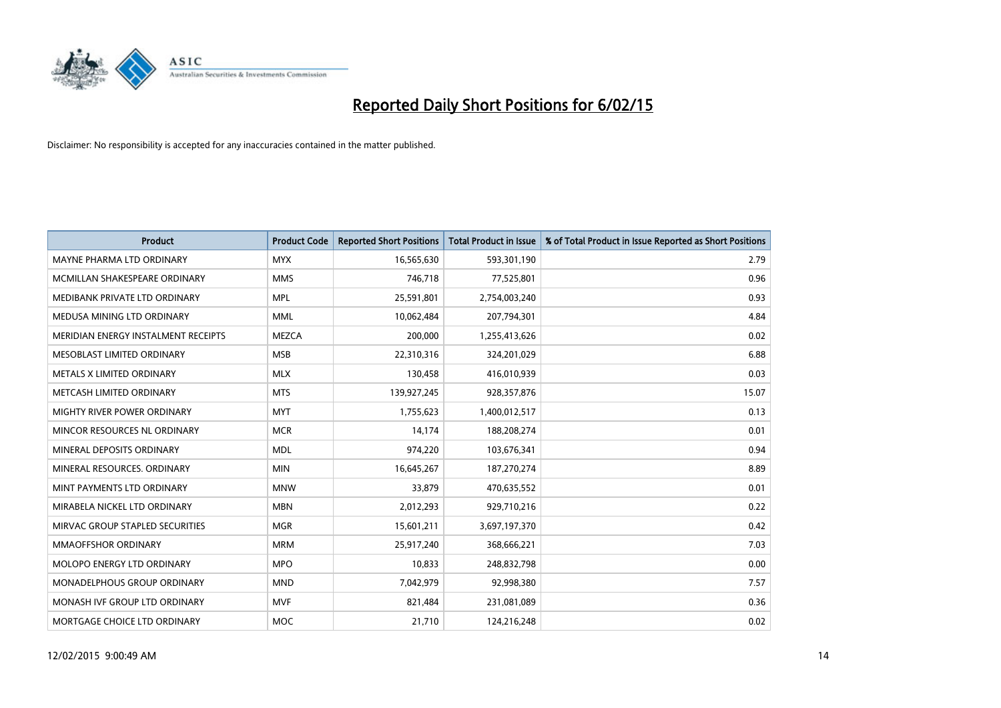

| <b>Product</b>                      | <b>Product Code</b> | <b>Reported Short Positions</b> | <b>Total Product in Issue</b> | % of Total Product in Issue Reported as Short Positions |
|-------------------------------------|---------------------|---------------------------------|-------------------------------|---------------------------------------------------------|
| MAYNE PHARMA LTD ORDINARY           | <b>MYX</b>          | 16,565,630                      | 593,301,190                   | 2.79                                                    |
| MCMILLAN SHAKESPEARE ORDINARY       | <b>MMS</b>          | 746,718                         | 77,525,801                    | 0.96                                                    |
| MEDIBANK PRIVATE LTD ORDINARY       | <b>MPL</b>          | 25,591,801                      | 2,754,003,240                 | 0.93                                                    |
| MEDUSA MINING LTD ORDINARY          | <b>MML</b>          | 10,062,484                      | 207,794,301                   | 4.84                                                    |
| MERIDIAN ENERGY INSTALMENT RECEIPTS | <b>MEZCA</b>        | 200,000                         | 1,255,413,626                 | 0.02                                                    |
| MESOBLAST LIMITED ORDINARY          | <b>MSB</b>          | 22,310,316                      | 324,201,029                   | 6.88                                                    |
| METALS X LIMITED ORDINARY           | <b>MLX</b>          | 130,458                         | 416,010,939                   | 0.03                                                    |
| METCASH LIMITED ORDINARY            | <b>MTS</b>          | 139,927,245                     | 928,357,876                   | 15.07                                                   |
| MIGHTY RIVER POWER ORDINARY         | <b>MYT</b>          | 1,755,623                       | 1,400,012,517                 | 0.13                                                    |
| MINCOR RESOURCES NL ORDINARY        | <b>MCR</b>          | 14,174                          | 188,208,274                   | 0.01                                                    |
| MINERAL DEPOSITS ORDINARY           | <b>MDL</b>          | 974,220                         | 103,676,341                   | 0.94                                                    |
| MINERAL RESOURCES, ORDINARY         | <b>MIN</b>          | 16,645,267                      | 187,270,274                   | 8.89                                                    |
| MINT PAYMENTS LTD ORDINARY          | <b>MNW</b>          | 33,879                          | 470,635,552                   | 0.01                                                    |
| MIRABELA NICKEL LTD ORDINARY        | <b>MBN</b>          | 2,012,293                       | 929,710,216                   | 0.22                                                    |
| MIRVAC GROUP STAPLED SECURITIES     | <b>MGR</b>          | 15,601,211                      | 3,697,197,370                 | 0.42                                                    |
| MMAOFFSHOR ORDINARY                 | <b>MRM</b>          | 25,917,240                      | 368,666,221                   | 7.03                                                    |
| MOLOPO ENERGY LTD ORDINARY          | <b>MPO</b>          | 10,833                          | 248,832,798                   | 0.00                                                    |
| <b>MONADELPHOUS GROUP ORDINARY</b>  | <b>MND</b>          | 7,042,979                       | 92,998,380                    | 7.57                                                    |
| MONASH IVF GROUP LTD ORDINARY       | <b>MVF</b>          | 821,484                         | 231,081,089                   | 0.36                                                    |
| MORTGAGE CHOICE LTD ORDINARY        | <b>MOC</b>          | 21,710                          | 124,216,248                   | 0.02                                                    |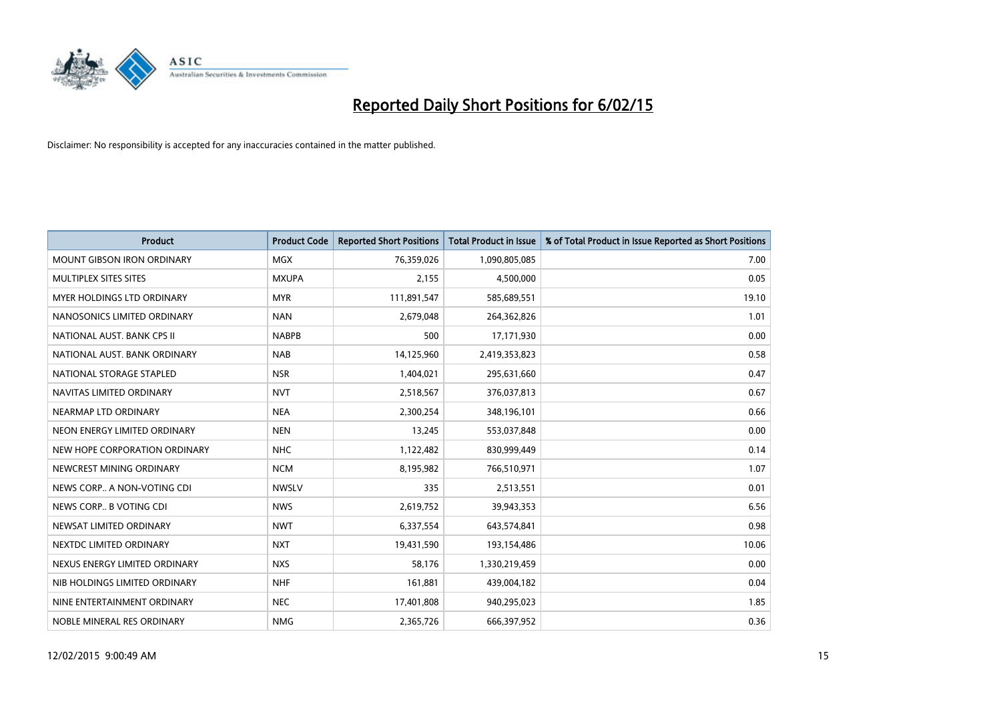

| <b>Product</b>                    | <b>Product Code</b> | <b>Reported Short Positions</b> | <b>Total Product in Issue</b> | % of Total Product in Issue Reported as Short Positions |
|-----------------------------------|---------------------|---------------------------------|-------------------------------|---------------------------------------------------------|
| <b>MOUNT GIBSON IRON ORDINARY</b> | MGX                 | 76,359,026                      | 1,090,805,085                 | 7.00                                                    |
| MULTIPLEX SITES SITES             | <b>MXUPA</b>        | 2,155                           | 4,500,000                     | 0.05                                                    |
| <b>MYER HOLDINGS LTD ORDINARY</b> | <b>MYR</b>          | 111,891,547                     | 585,689,551                   | 19.10                                                   |
| NANOSONICS LIMITED ORDINARY       | <b>NAN</b>          | 2,679,048                       | 264,362,826                   | 1.01                                                    |
| NATIONAL AUST. BANK CPS II        | <b>NABPB</b>        | 500                             | 17,171,930                    | 0.00                                                    |
| NATIONAL AUST, BANK ORDINARY      | <b>NAB</b>          | 14,125,960                      | 2,419,353,823                 | 0.58                                                    |
| NATIONAL STORAGE STAPLED          | <b>NSR</b>          | 1,404,021                       | 295,631,660                   | 0.47                                                    |
| NAVITAS LIMITED ORDINARY          | <b>NVT</b>          | 2,518,567                       | 376,037,813                   | 0.67                                                    |
| NEARMAP LTD ORDINARY              | <b>NEA</b>          | 2,300,254                       | 348,196,101                   | 0.66                                                    |
| NEON ENERGY LIMITED ORDINARY      | <b>NEN</b>          | 13,245                          | 553,037,848                   | 0.00                                                    |
| NEW HOPE CORPORATION ORDINARY     | <b>NHC</b>          | 1,122,482                       | 830,999,449                   | 0.14                                                    |
| NEWCREST MINING ORDINARY          | <b>NCM</b>          | 8,195,982                       | 766,510,971                   | 1.07                                                    |
| NEWS CORP A NON-VOTING CDI        | <b>NWSLV</b>        | 335                             | 2,513,551                     | 0.01                                                    |
| NEWS CORP B VOTING CDI            | <b>NWS</b>          | 2,619,752                       | 39,943,353                    | 6.56                                                    |
| NEWSAT LIMITED ORDINARY           | <b>NWT</b>          | 6,337,554                       | 643,574,841                   | 0.98                                                    |
| NEXTDC LIMITED ORDINARY           | <b>NXT</b>          | 19,431,590                      | 193,154,486                   | 10.06                                                   |
| NEXUS ENERGY LIMITED ORDINARY     | <b>NXS</b>          | 58,176                          | 1,330,219,459                 | 0.00                                                    |
| NIB HOLDINGS LIMITED ORDINARY     | <b>NHF</b>          | 161,881                         | 439,004,182                   | 0.04                                                    |
| NINE ENTERTAINMENT ORDINARY       | <b>NEC</b>          | 17,401,808                      | 940,295,023                   | 1.85                                                    |
| NOBLE MINERAL RES ORDINARY        | <b>NMG</b>          | 2,365,726                       | 666,397,952                   | 0.36                                                    |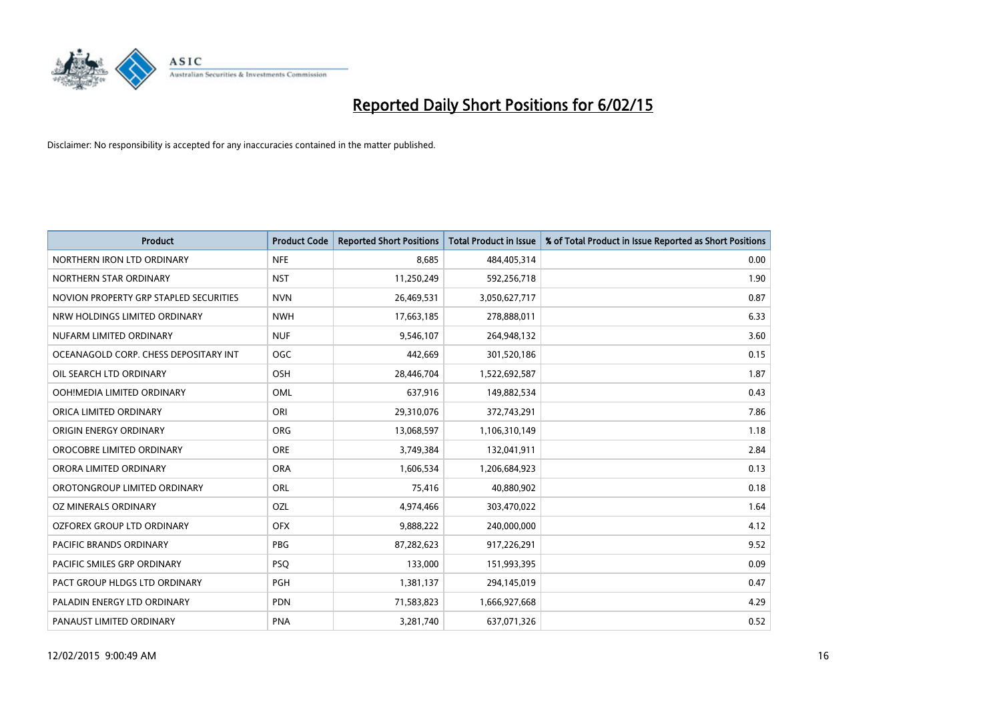

| <b>Product</b>                         | <b>Product Code</b> | <b>Reported Short Positions</b> | <b>Total Product in Issue</b> | % of Total Product in Issue Reported as Short Positions |
|----------------------------------------|---------------------|---------------------------------|-------------------------------|---------------------------------------------------------|
| NORTHERN IRON LTD ORDINARY             | <b>NFE</b>          | 8,685                           | 484,405,314                   | 0.00                                                    |
| NORTHERN STAR ORDINARY                 | <b>NST</b>          | 11,250,249                      | 592,256,718                   | 1.90                                                    |
| NOVION PROPERTY GRP STAPLED SECURITIES | <b>NVN</b>          | 26,469,531                      | 3,050,627,717                 | 0.87                                                    |
| NRW HOLDINGS LIMITED ORDINARY          | <b>NWH</b>          | 17,663,185                      | 278,888,011                   | 6.33                                                    |
| NUFARM LIMITED ORDINARY                | <b>NUF</b>          | 9,546,107                       | 264,948,132                   | 3.60                                                    |
| OCEANAGOLD CORP. CHESS DEPOSITARY INT  | <b>OGC</b>          | 442,669                         | 301,520,186                   | 0.15                                                    |
| OIL SEARCH LTD ORDINARY                | OSH                 | 28,446,704                      | 1,522,692,587                 | 1.87                                                    |
| OOH!MEDIA LIMITED ORDINARY             | OML                 | 637,916                         | 149,882,534                   | 0.43                                                    |
| ORICA LIMITED ORDINARY                 | ORI                 | 29,310,076                      | 372,743,291                   | 7.86                                                    |
| ORIGIN ENERGY ORDINARY                 | <b>ORG</b>          | 13,068,597                      | 1,106,310,149                 | 1.18                                                    |
| OROCOBRE LIMITED ORDINARY              | <b>ORE</b>          | 3,749,384                       | 132,041,911                   | 2.84                                                    |
| ORORA LIMITED ORDINARY                 | <b>ORA</b>          | 1,606,534                       | 1,206,684,923                 | 0.13                                                    |
| OROTONGROUP LIMITED ORDINARY           | ORL                 | 75,416                          | 40,880,902                    | 0.18                                                    |
| OZ MINERALS ORDINARY                   | OZL                 | 4,974,466                       | 303,470,022                   | 1.64                                                    |
| OZFOREX GROUP LTD ORDINARY             | <b>OFX</b>          | 9,888,222                       | 240,000,000                   | 4.12                                                    |
| PACIFIC BRANDS ORDINARY                | <b>PBG</b>          | 87,282,623                      | 917,226,291                   | 9.52                                                    |
| PACIFIC SMILES GRP ORDINARY            | <b>PSQ</b>          | 133,000                         | 151,993,395                   | 0.09                                                    |
| PACT GROUP HLDGS LTD ORDINARY          | PGH                 | 1,381,137                       | 294,145,019                   | 0.47                                                    |
| PALADIN ENERGY LTD ORDINARY            | <b>PDN</b>          | 71,583,823                      | 1,666,927,668                 | 4.29                                                    |
| PANAUST LIMITED ORDINARY               | <b>PNA</b>          | 3,281,740                       | 637,071,326                   | 0.52                                                    |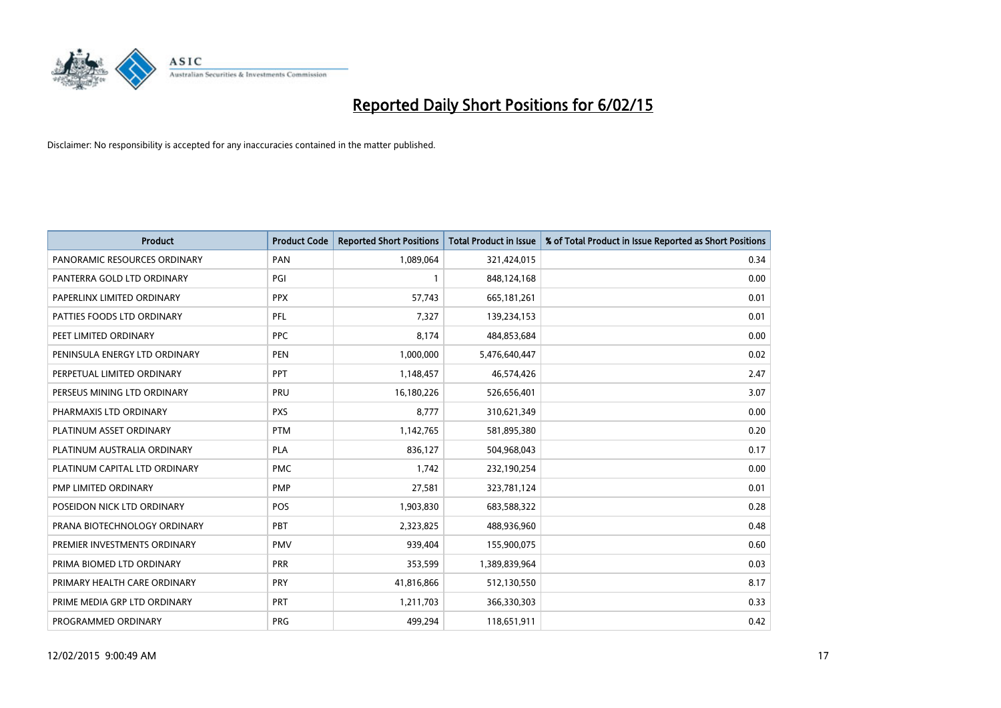

| <b>Product</b>                | <b>Product Code</b> | <b>Reported Short Positions</b> | <b>Total Product in Issue</b> | % of Total Product in Issue Reported as Short Positions |
|-------------------------------|---------------------|---------------------------------|-------------------------------|---------------------------------------------------------|
| PANORAMIC RESOURCES ORDINARY  | PAN                 | 1,089,064                       | 321,424,015                   | 0.34                                                    |
| PANTERRA GOLD LTD ORDINARY    | PGI                 | 1                               | 848,124,168                   | 0.00                                                    |
| PAPERLINX LIMITED ORDINARY    | <b>PPX</b>          | 57,743                          | 665, 181, 261                 | 0.01                                                    |
| PATTIES FOODS LTD ORDINARY    | PFL                 | 7,327                           | 139,234,153                   | 0.01                                                    |
| PEET LIMITED ORDINARY         | <b>PPC</b>          | 8,174                           | 484,853,684                   | 0.00                                                    |
| PENINSULA ENERGY LTD ORDINARY | <b>PEN</b>          | 1,000,000                       | 5,476,640,447                 | 0.02                                                    |
| PERPETUAL LIMITED ORDINARY    | <b>PPT</b>          | 1,148,457                       | 46,574,426                    | 2.47                                                    |
| PERSEUS MINING LTD ORDINARY   | <b>PRU</b>          | 16,180,226                      | 526,656,401                   | 3.07                                                    |
| PHARMAXIS LTD ORDINARY        | <b>PXS</b>          | 8,777                           | 310,621,349                   | 0.00                                                    |
| PLATINUM ASSET ORDINARY       | <b>PTM</b>          | 1,142,765                       | 581,895,380                   | 0.20                                                    |
| PLATINUM AUSTRALIA ORDINARY   | <b>PLA</b>          | 836,127                         | 504,968,043                   | 0.17                                                    |
| PLATINUM CAPITAL LTD ORDINARY | <b>PMC</b>          | 1,742                           | 232,190,254                   | 0.00                                                    |
| PMP LIMITED ORDINARY          | <b>PMP</b>          | 27,581                          | 323,781,124                   | 0.01                                                    |
| POSEIDON NICK LTD ORDINARY    | <b>POS</b>          | 1,903,830                       | 683,588,322                   | 0.28                                                    |
| PRANA BIOTECHNOLOGY ORDINARY  | PBT                 | 2,323,825                       | 488,936,960                   | 0.48                                                    |
| PREMIER INVESTMENTS ORDINARY  | <b>PMV</b>          | 939,404                         | 155,900,075                   | 0.60                                                    |
| PRIMA BIOMED LTD ORDINARY     | <b>PRR</b>          | 353,599                         | 1,389,839,964                 | 0.03                                                    |
| PRIMARY HEALTH CARE ORDINARY  | <b>PRY</b>          | 41,816,866                      | 512,130,550                   | 8.17                                                    |
| PRIME MEDIA GRP LTD ORDINARY  | <b>PRT</b>          | 1,211,703                       | 366,330,303                   | 0.33                                                    |
| PROGRAMMED ORDINARY           | <b>PRG</b>          | 499,294                         | 118,651,911                   | 0.42                                                    |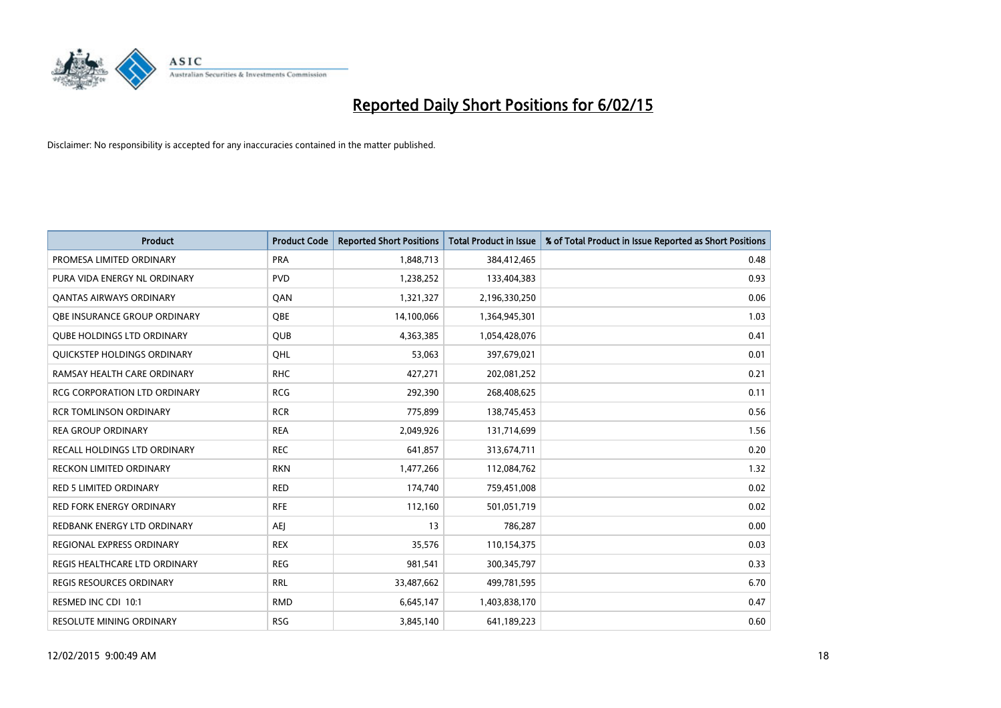

| <b>Product</b>                      | <b>Product Code</b> | <b>Reported Short Positions</b> | <b>Total Product in Issue</b> | % of Total Product in Issue Reported as Short Positions |
|-------------------------------------|---------------------|---------------------------------|-------------------------------|---------------------------------------------------------|
| PROMESA LIMITED ORDINARY            | <b>PRA</b>          | 1,848,713                       | 384,412,465                   | 0.48                                                    |
| PURA VIDA ENERGY NL ORDINARY        | <b>PVD</b>          | 1,238,252                       | 133,404,383                   | 0.93                                                    |
| <b>QANTAS AIRWAYS ORDINARY</b>      | QAN                 | 1,321,327                       | 2,196,330,250                 | 0.06                                                    |
| OBE INSURANCE GROUP ORDINARY        | <b>OBE</b>          | 14,100,066                      | 1,364,945,301                 | 1.03                                                    |
| <b>OUBE HOLDINGS LTD ORDINARY</b>   | <b>QUB</b>          | 4,363,385                       | 1,054,428,076                 | 0.41                                                    |
| QUICKSTEP HOLDINGS ORDINARY         | QHL                 | 53,063                          | 397,679,021                   | 0.01                                                    |
| RAMSAY HEALTH CARE ORDINARY         | <b>RHC</b>          | 427,271                         | 202,081,252                   | 0.21                                                    |
| <b>RCG CORPORATION LTD ORDINARY</b> | <b>RCG</b>          | 292,390                         | 268,408,625                   | 0.11                                                    |
| <b>RCR TOMLINSON ORDINARY</b>       | <b>RCR</b>          | 775,899                         | 138,745,453                   | 0.56                                                    |
| <b>REA GROUP ORDINARY</b>           | <b>REA</b>          | 2,049,926                       | 131,714,699                   | 1.56                                                    |
| RECALL HOLDINGS LTD ORDINARY        | <b>REC</b>          | 641,857                         | 313,674,711                   | 0.20                                                    |
| <b>RECKON LIMITED ORDINARY</b>      | <b>RKN</b>          | 1,477,266                       | 112,084,762                   | 1.32                                                    |
| RED 5 LIMITED ORDINARY              | <b>RED</b>          | 174,740                         | 759,451,008                   | 0.02                                                    |
| <b>RED FORK ENERGY ORDINARY</b>     | <b>RFE</b>          | 112,160                         | 501,051,719                   | 0.02                                                    |
| REDBANK ENERGY LTD ORDINARY         | <b>AEJ</b>          | 13                              | 786,287                       | 0.00                                                    |
| REGIONAL EXPRESS ORDINARY           | <b>REX</b>          | 35,576                          | 110,154,375                   | 0.03                                                    |
| REGIS HEALTHCARE LTD ORDINARY       | <b>REG</b>          | 981,541                         | 300, 345, 797                 | 0.33                                                    |
| REGIS RESOURCES ORDINARY            | <b>RRL</b>          | 33,487,662                      | 499,781,595                   | 6.70                                                    |
| RESMED INC CDI 10:1                 | <b>RMD</b>          | 6,645,147                       | 1,403,838,170                 | 0.47                                                    |
| <b>RESOLUTE MINING ORDINARY</b>     | <b>RSG</b>          | 3,845,140                       | 641,189,223                   | 0.60                                                    |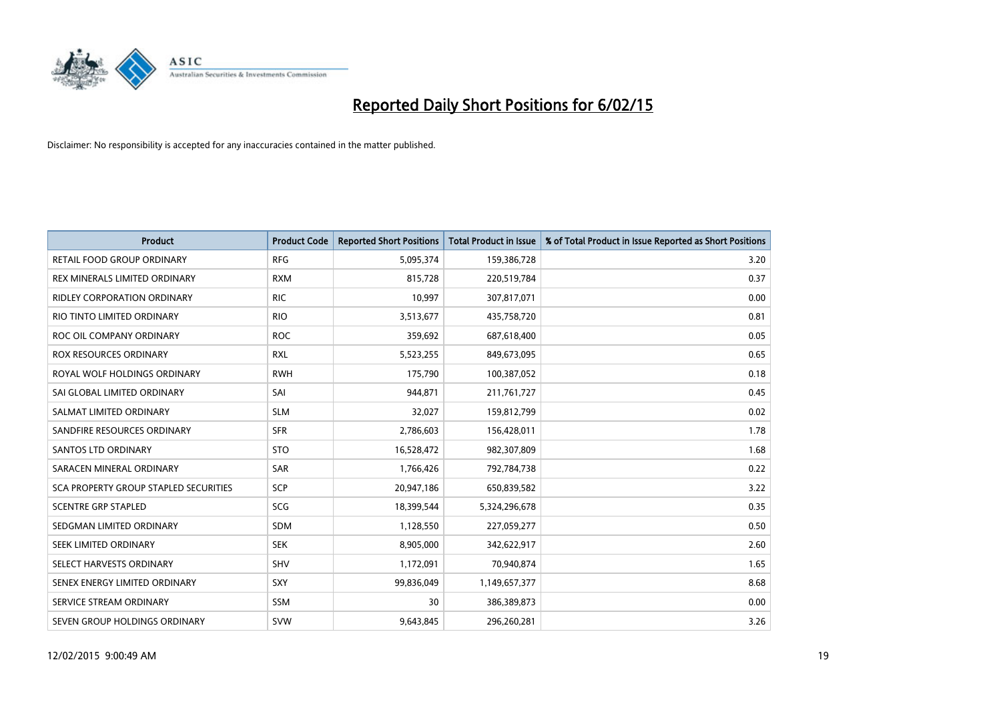

| <b>Product</b>                               | <b>Product Code</b> | <b>Reported Short Positions</b> | <b>Total Product in Issue</b> | % of Total Product in Issue Reported as Short Positions |
|----------------------------------------------|---------------------|---------------------------------|-------------------------------|---------------------------------------------------------|
| <b>RETAIL FOOD GROUP ORDINARY</b>            | <b>RFG</b>          | 5,095,374                       | 159,386,728                   | 3.20                                                    |
| REX MINERALS LIMITED ORDINARY                | <b>RXM</b>          | 815,728                         | 220,519,784                   | 0.37                                                    |
| RIDLEY CORPORATION ORDINARY                  | <b>RIC</b>          | 10,997                          | 307,817,071                   | 0.00                                                    |
| RIO TINTO LIMITED ORDINARY                   | <b>RIO</b>          | 3,513,677                       | 435,758,720                   | 0.81                                                    |
| ROC OIL COMPANY ORDINARY                     | <b>ROC</b>          | 359,692                         | 687,618,400                   | 0.05                                                    |
| <b>ROX RESOURCES ORDINARY</b>                | <b>RXL</b>          | 5,523,255                       | 849,673,095                   | 0.65                                                    |
| ROYAL WOLF HOLDINGS ORDINARY                 | <b>RWH</b>          | 175,790                         | 100,387,052                   | 0.18                                                    |
| SAI GLOBAL LIMITED ORDINARY                  | SAI                 | 944,871                         | 211,761,727                   | 0.45                                                    |
| SALMAT LIMITED ORDINARY                      | <b>SLM</b>          | 32,027                          | 159,812,799                   | 0.02                                                    |
| SANDFIRE RESOURCES ORDINARY                  | <b>SFR</b>          | 2,786,603                       | 156,428,011                   | 1.78                                                    |
| <b>SANTOS LTD ORDINARY</b>                   | <b>STO</b>          | 16,528,472                      | 982,307,809                   | 1.68                                                    |
| SARACEN MINERAL ORDINARY                     | SAR                 | 1,766,426                       | 792,784,738                   | 0.22                                                    |
| <b>SCA PROPERTY GROUP STAPLED SECURITIES</b> | SCP                 | 20,947,186                      | 650,839,582                   | 3.22                                                    |
| <b>SCENTRE GRP STAPLED</b>                   | SCG                 | 18,399,544                      | 5,324,296,678                 | 0.35                                                    |
| SEDGMAN LIMITED ORDINARY                     | <b>SDM</b>          | 1,128,550                       | 227,059,277                   | 0.50                                                    |
| SEEK LIMITED ORDINARY                        | <b>SEK</b>          | 8,905,000                       | 342,622,917                   | 2.60                                                    |
| SELECT HARVESTS ORDINARY                     | SHV                 | 1,172,091                       | 70,940,874                    | 1.65                                                    |
| SENEX ENERGY LIMITED ORDINARY                | <b>SXY</b>          | 99,836,049                      | 1,149,657,377                 | 8.68                                                    |
| SERVICE STREAM ORDINARY                      | <b>SSM</b>          | 30                              | 386,389,873                   | 0.00                                                    |
| SEVEN GROUP HOLDINGS ORDINARY                | <b>SVW</b>          | 9,643,845                       | 296,260,281                   | 3.26                                                    |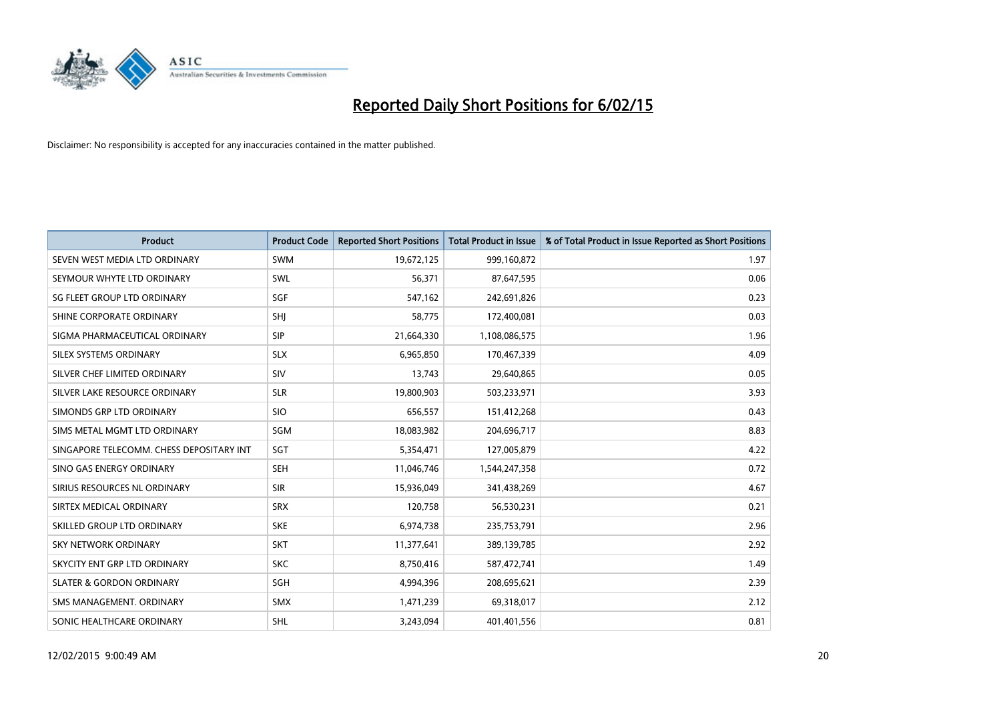

| <b>Product</b>                           | <b>Product Code</b> | <b>Reported Short Positions</b> | <b>Total Product in Issue</b> | % of Total Product in Issue Reported as Short Positions |
|------------------------------------------|---------------------|---------------------------------|-------------------------------|---------------------------------------------------------|
| SEVEN WEST MEDIA LTD ORDINARY            | <b>SWM</b>          | 19,672,125                      | 999,160,872                   | 1.97                                                    |
| SEYMOUR WHYTE LTD ORDINARY               | SWL                 | 56,371                          | 87,647,595                    | 0.06                                                    |
| SG FLEET GROUP LTD ORDINARY              | SGF                 | 547,162                         | 242,691,826                   | 0.23                                                    |
| SHINE CORPORATE ORDINARY                 | SHI                 | 58,775                          | 172,400,081                   | 0.03                                                    |
| SIGMA PHARMACEUTICAL ORDINARY            | <b>SIP</b>          | 21,664,330                      | 1,108,086,575                 | 1.96                                                    |
| SILEX SYSTEMS ORDINARY                   | <b>SLX</b>          | 6,965,850                       | 170,467,339                   | 4.09                                                    |
| SILVER CHEF LIMITED ORDINARY             | SIV                 | 13,743                          | 29,640,865                    | 0.05                                                    |
| SILVER LAKE RESOURCE ORDINARY            | <b>SLR</b>          | 19,800,903                      | 503,233,971                   | 3.93                                                    |
| SIMONDS GRP LTD ORDINARY                 | <b>SIO</b>          | 656,557                         | 151,412,268                   | 0.43                                                    |
| SIMS METAL MGMT LTD ORDINARY             | SGM                 | 18,083,982                      | 204,696,717                   | 8.83                                                    |
| SINGAPORE TELECOMM. CHESS DEPOSITARY INT | SGT                 | 5,354,471                       | 127,005,879                   | 4.22                                                    |
| SINO GAS ENERGY ORDINARY                 | SEH                 | 11,046,746                      | 1,544,247,358                 | 0.72                                                    |
| SIRIUS RESOURCES NL ORDINARY             | <b>SIR</b>          | 15,936,049                      | 341,438,269                   | 4.67                                                    |
| SIRTEX MEDICAL ORDINARY                  | <b>SRX</b>          | 120,758                         | 56,530,231                    | 0.21                                                    |
| SKILLED GROUP LTD ORDINARY               | <b>SKE</b>          | 6,974,738                       | 235,753,791                   | 2.96                                                    |
| SKY NETWORK ORDINARY                     | <b>SKT</b>          | 11,377,641                      | 389,139,785                   | 2.92                                                    |
| SKYCITY ENT GRP LTD ORDINARY             | <b>SKC</b>          | 8,750,416                       | 587,472,741                   | 1.49                                                    |
| <b>SLATER &amp; GORDON ORDINARY</b>      | SGH                 | 4,994,396                       | 208,695,621                   | 2.39                                                    |
| SMS MANAGEMENT, ORDINARY                 | <b>SMX</b>          | 1,471,239                       | 69,318,017                    | 2.12                                                    |
| SONIC HEALTHCARE ORDINARY                | <b>SHL</b>          | 3,243,094                       | 401,401,556                   | 0.81                                                    |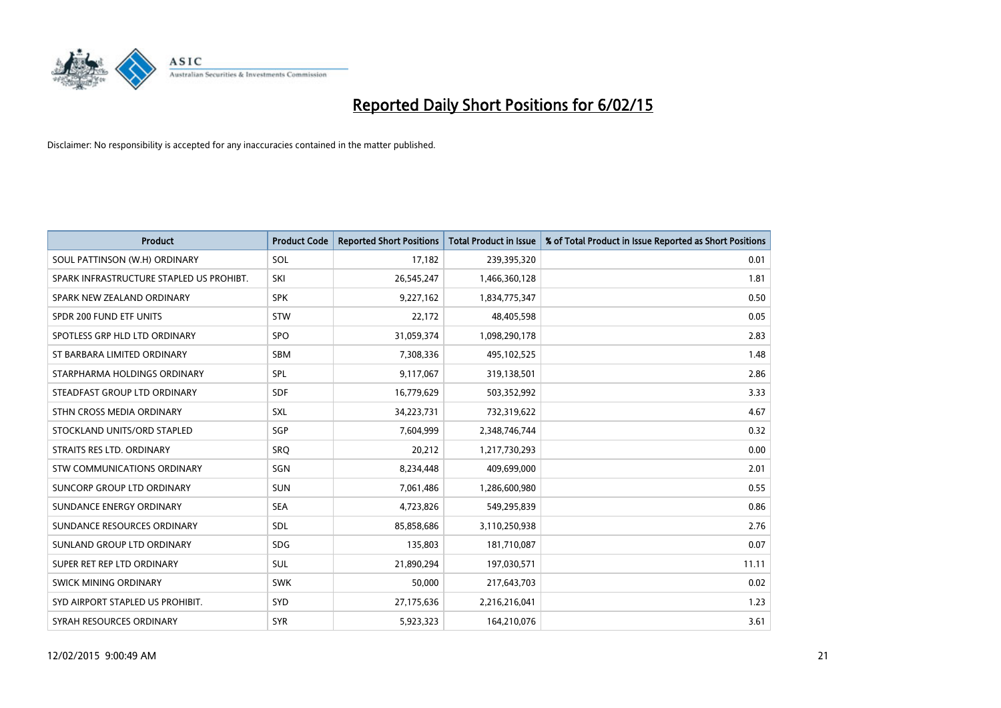

| <b>Product</b>                           | <b>Product Code</b> | <b>Reported Short Positions</b> | <b>Total Product in Issue</b> | % of Total Product in Issue Reported as Short Positions |
|------------------------------------------|---------------------|---------------------------------|-------------------------------|---------------------------------------------------------|
| SOUL PATTINSON (W.H) ORDINARY            | SOL                 | 17,182                          | 239,395,320                   | 0.01                                                    |
| SPARK INFRASTRUCTURE STAPLED US PROHIBT. | SKI                 | 26,545,247                      | 1,466,360,128                 | 1.81                                                    |
| SPARK NEW ZEALAND ORDINARY               | <b>SPK</b>          | 9,227,162                       | 1,834,775,347                 | 0.50                                                    |
| SPDR 200 FUND ETF UNITS                  | <b>STW</b>          | 22,172                          | 48,405,598                    | 0.05                                                    |
| SPOTLESS GRP HLD LTD ORDINARY            | <b>SPO</b>          | 31,059,374                      | 1,098,290,178                 | 2.83                                                    |
| ST BARBARA LIMITED ORDINARY              | <b>SBM</b>          | 7,308,336                       | 495,102,525                   | 1.48                                                    |
| STARPHARMA HOLDINGS ORDINARY             | <b>SPL</b>          | 9,117,067                       | 319,138,501                   | 2.86                                                    |
| STEADFAST GROUP LTD ORDINARY             | <b>SDF</b>          | 16,779,629                      | 503,352,992                   | 3.33                                                    |
| STHN CROSS MEDIA ORDINARY                | SXL                 | 34,223,731                      | 732,319,622                   | 4.67                                                    |
| STOCKLAND UNITS/ORD STAPLED              | SGP                 | 7,604,999                       | 2,348,746,744                 | 0.32                                                    |
| STRAITS RES LTD. ORDINARY                | SRO                 | 20,212                          | 1,217,730,293                 | 0.00                                                    |
| STW COMMUNICATIONS ORDINARY              | SGN                 | 8,234,448                       | 409,699,000                   | 2.01                                                    |
| SUNCORP GROUP LTD ORDINARY               | <b>SUN</b>          | 7,061,486                       | 1,286,600,980                 | 0.55                                                    |
| SUNDANCE ENERGY ORDINARY                 | <b>SEA</b>          | 4,723,826                       | 549,295,839                   | 0.86                                                    |
| SUNDANCE RESOURCES ORDINARY              | SDL                 | 85,858,686                      | 3,110,250,938                 | 2.76                                                    |
| SUNLAND GROUP LTD ORDINARY               | <b>SDG</b>          | 135,803                         | 181,710,087                   | 0.07                                                    |
| SUPER RET REP LTD ORDINARY               | SUL                 | 21,890,294                      | 197,030,571                   | 11.11                                                   |
| SWICK MINING ORDINARY                    | <b>SWK</b>          | 50.000                          | 217,643,703                   | 0.02                                                    |
| SYD AIRPORT STAPLED US PROHIBIT.         | <b>SYD</b>          | 27,175,636                      | 2,216,216,041                 | 1.23                                                    |
| SYRAH RESOURCES ORDINARY                 | <b>SYR</b>          | 5,923,323                       | 164,210,076                   | 3.61                                                    |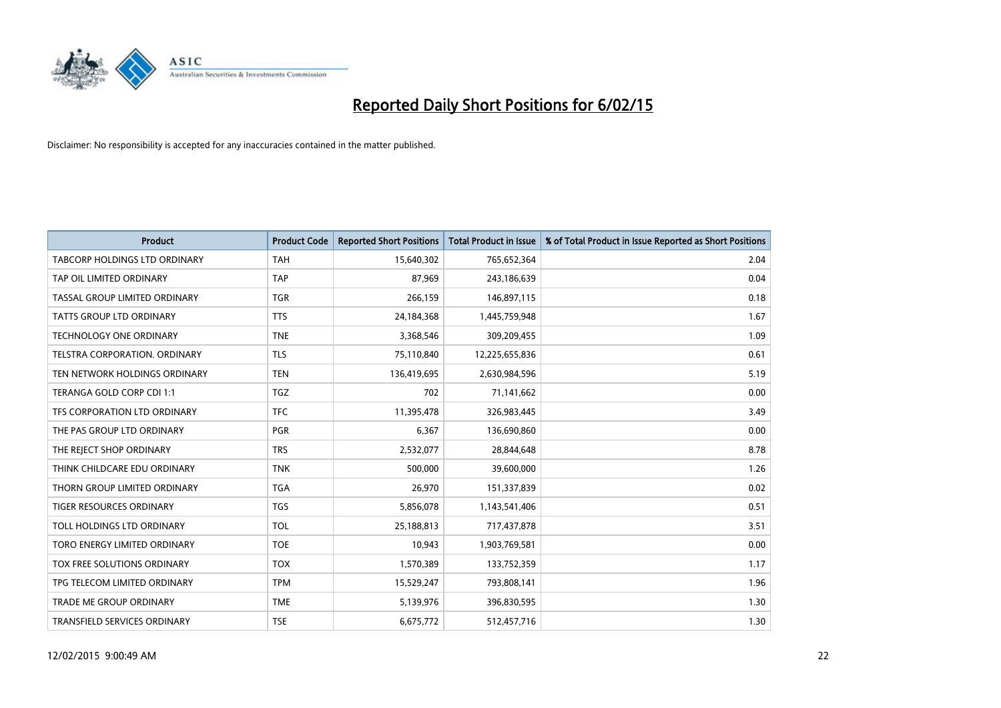

| <b>Product</b>                 | <b>Product Code</b> | <b>Reported Short Positions</b> | <b>Total Product in Issue</b> | % of Total Product in Issue Reported as Short Positions |
|--------------------------------|---------------------|---------------------------------|-------------------------------|---------------------------------------------------------|
| TABCORP HOLDINGS LTD ORDINARY  | <b>TAH</b>          | 15,640,302                      | 765,652,364                   | 2.04                                                    |
| TAP OIL LIMITED ORDINARY       | <b>TAP</b>          | 87,969                          | 243,186,639                   | 0.04                                                    |
| TASSAL GROUP LIMITED ORDINARY  | <b>TGR</b>          | 266.159                         | 146,897,115                   | 0.18                                                    |
| TATTS GROUP LTD ORDINARY       | <b>TTS</b>          | 24,184,368                      | 1,445,759,948                 | 1.67                                                    |
| <b>TECHNOLOGY ONE ORDINARY</b> | <b>TNE</b>          | 3,368,546                       | 309,209,455                   | 1.09                                                    |
| TELSTRA CORPORATION, ORDINARY  | <b>TLS</b>          | 75,110,840                      | 12,225,655,836                | 0.61                                                    |
| TEN NETWORK HOLDINGS ORDINARY  | <b>TEN</b>          | 136,419,695                     | 2,630,984,596                 | 5.19                                                    |
| TERANGA GOLD CORP CDI 1:1      | TGZ                 | 702                             | 71,141,662                    | 0.00                                                    |
| TFS CORPORATION LTD ORDINARY   | <b>TFC</b>          | 11,395,478                      | 326,983,445                   | 3.49                                                    |
| THE PAS GROUP LTD ORDINARY     | <b>PGR</b>          | 6,367                           | 136,690,860                   | 0.00                                                    |
| THE REJECT SHOP ORDINARY       | <b>TRS</b>          | 2,532,077                       | 28,844,648                    | 8.78                                                    |
| THINK CHILDCARE EDU ORDINARY   | <b>TNK</b>          | 500,000                         | 39,600,000                    | 1.26                                                    |
| THORN GROUP LIMITED ORDINARY   | <b>TGA</b>          | 26,970                          | 151,337,839                   | 0.02                                                    |
| TIGER RESOURCES ORDINARY       | TGS                 | 5,856,078                       | 1,143,541,406                 | 0.51                                                    |
| TOLL HOLDINGS LTD ORDINARY     | <b>TOL</b>          | 25,188,813                      | 717,437,878                   | 3.51                                                    |
| TORO ENERGY LIMITED ORDINARY   | <b>TOE</b>          | 10,943                          | 1,903,769,581                 | 0.00                                                    |
| TOX FREE SOLUTIONS ORDINARY    | <b>TOX</b>          | 1,570,389                       | 133,752,359                   | 1.17                                                    |
| TPG TELECOM LIMITED ORDINARY   | <b>TPM</b>          | 15,529,247                      | 793,808,141                   | 1.96                                                    |
| <b>TRADE ME GROUP ORDINARY</b> | <b>TME</b>          | 5,139,976                       | 396,830,595                   | 1.30                                                    |
| TRANSFIELD SERVICES ORDINARY   | <b>TSE</b>          | 6,675,772                       | 512,457,716                   | 1.30                                                    |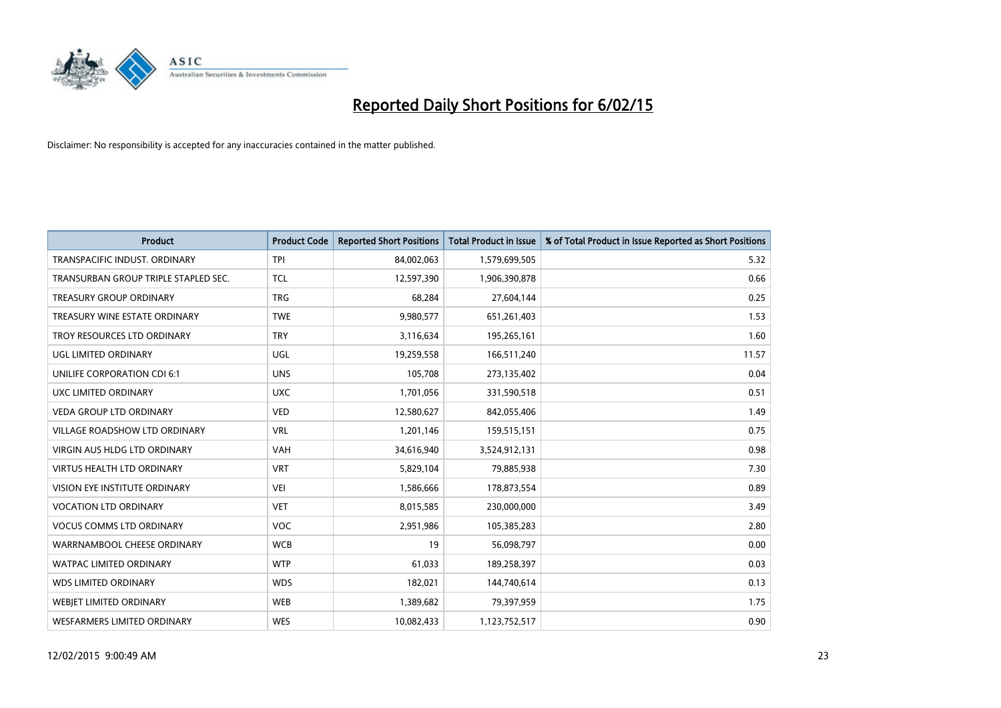

| <b>Product</b>                       | <b>Product Code</b> | <b>Reported Short Positions</b> | <b>Total Product in Issue</b> | % of Total Product in Issue Reported as Short Positions |
|--------------------------------------|---------------------|---------------------------------|-------------------------------|---------------------------------------------------------|
| TRANSPACIFIC INDUST, ORDINARY        | <b>TPI</b>          | 84,002,063                      | 1,579,699,505                 | 5.32                                                    |
| TRANSURBAN GROUP TRIPLE STAPLED SEC. | <b>TCL</b>          | 12,597,390                      | 1,906,390,878                 | 0.66                                                    |
| <b>TREASURY GROUP ORDINARY</b>       | <b>TRG</b>          | 68,284                          | 27,604,144                    | 0.25                                                    |
| TREASURY WINE ESTATE ORDINARY        | <b>TWE</b>          | 9,980,577                       | 651,261,403                   | 1.53                                                    |
| TROY RESOURCES LTD ORDINARY          | <b>TRY</b>          | 3,116,634                       | 195,265,161                   | 1.60                                                    |
| UGL LIMITED ORDINARY                 | UGL                 | 19,259,558                      | 166,511,240                   | 11.57                                                   |
| UNILIFE CORPORATION CDI 6:1          | <b>UNS</b>          | 105,708                         | 273,135,402                   | 0.04                                                    |
| UXC LIMITED ORDINARY                 | <b>UXC</b>          | 1,701,056                       | 331,590,518                   | 0.51                                                    |
| <b>VEDA GROUP LTD ORDINARY</b>       | <b>VED</b>          | 12,580,627                      | 842,055,406                   | 1.49                                                    |
| <b>VILLAGE ROADSHOW LTD ORDINARY</b> | <b>VRL</b>          | 1,201,146                       | 159,515,151                   | 0.75                                                    |
| VIRGIN AUS HLDG LTD ORDINARY         | <b>VAH</b>          | 34,616,940                      | 3,524,912,131                 | 0.98                                                    |
| <b>VIRTUS HEALTH LTD ORDINARY</b>    | <b>VRT</b>          | 5,829,104                       | 79,885,938                    | 7.30                                                    |
| VISION EYE INSTITUTE ORDINARY        | <b>VEI</b>          | 1,586,666                       | 178,873,554                   | 0.89                                                    |
| <b>VOCATION LTD ORDINARY</b>         | <b>VET</b>          | 8,015,585                       | 230,000,000                   | 3.49                                                    |
| <b>VOCUS COMMS LTD ORDINARY</b>      | VOC                 | 2,951,986                       | 105,385,283                   | 2.80                                                    |
| WARRNAMBOOL CHEESE ORDINARY          | <b>WCB</b>          | 19                              | 56,098,797                    | 0.00                                                    |
| WATPAC LIMITED ORDINARY              | <b>WTP</b>          | 61,033                          | 189,258,397                   | 0.03                                                    |
| <b>WDS LIMITED ORDINARY</b>          | <b>WDS</b>          | 182,021                         | 144,740,614                   | 0.13                                                    |
| WEBIET LIMITED ORDINARY              | <b>WEB</b>          | 1,389,682                       | 79,397,959                    | 1.75                                                    |
| <b>WESFARMERS LIMITED ORDINARY</b>   | <b>WES</b>          | 10,082,433                      | 1,123,752,517                 | 0.90                                                    |